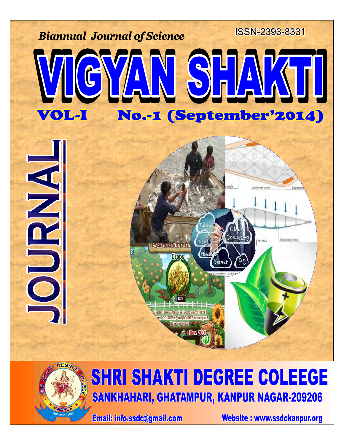



## SHRI SHAKTI DEGREE COLEEGE **SANKHAHARI, GHATAMPUR, KANPUR NAGAR-209206**

**Email: info.ssdc@gmail.com** 

Website: www.ssdckanpur.org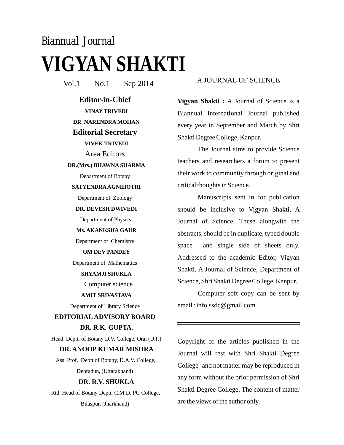# *Biannual Journal* **VIGYAN SHAKTI**

Vol.1 No.1 Sep 2014 A JOURNAL OF SCIENCE

**Editor-in-Chief Editorial Secretary VINAY TRIVEDI DR. NARENDRA MOHAN VIVEK TRIVEDI**

Area Editors

#### **DR.(Mrs.) BHAWNA SHARMA**

Department of Botany

#### **SATYENDRA AGNIHOTRI**

Department of Zoology

**DR. DEVESH DWIVEDI**

Department of Physics

#### **Ms. AKANKSHA GAUR**

Department of Chemistry

#### **OM DEV PANDEY**

Department of Mathematics

#### **SHYAMJI SHUKLA**

Computer science

#### **AMIT SRIVASTAVA**

Department of Library Science

## , **DR. R.K. GUPTA EDITORIAL ADVISORY BOARD**

Head Deptt. of Botany D.V. College, Orai (U.P.)

#### **DR. ANOOP KUMAR MISHRA**

Ass. Prof. Deptt of Botany, D.A.V. College, Dehradun, (Uttarakhand)

#### **DR. R.V. SHUKLA**

Rtd. Head of Botany Deptt. C.M.D. PG College, Bilaspur, (Jharkhand)

**Vigyan Shakti :** A Journal of Science is a Biannual International Journal published every year in September and March by Shri Shakti Degree College, Kanpur.

The Journal aims to provide Science teachers and researchers a forum to present their work to community through original and critical thoughts in Science.

Manuscripts sent in for publication should be inclusive to Vigyan Shakti, A Journal of Science. These alongwith the abstracts, should be in duplicate, typed double space and single side of sheets only. Addressed to the academic Editor, Vigyan Shakti, A Journal of Science, Department of Science, Shri Shakti Degree College, Kanpur.

Computer soft copy can be sent by email : info.ssdc@gmail.com

Copyright of the articles published in the Journal will rest with Shri Shakti Degree College and not matter may be reproduced in any form without the prior permission of Shri Shakti Degree College. The content of matter are the views of the author only.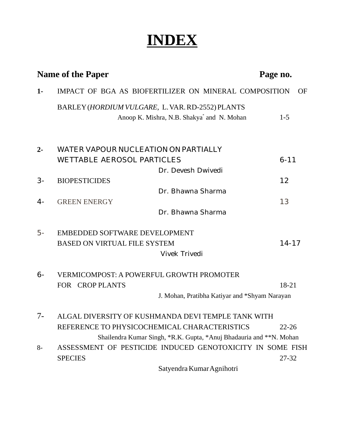## **INDEX**

|       | <b>Name of the Paper</b>                                            | Page no.  |
|-------|---------------------------------------------------------------------|-----------|
| $1-$  | IMPACT OF BGA AS BIOFERTILIZER ON MINERAL COMPOSITION               | OF        |
|       | BARLEY (HORDIUM VULGARE, L. VAR. RD-2552) PLANTS                    |           |
|       | Anoop K. Mishra, N.B. Shakya <sup>*</sup> and N. Mohan              | $1 - 5$   |
| $2 -$ | WATER VAPOUR NUCLEATION ON PARTIALLY                                |           |
|       | <b>WETTABLE AEROSOL PARTICLES</b>                                   | $6 - 11$  |
|       | Dr. Devesh Dwivedi                                                  |           |
| $3-$  | <b>BIOPESTICIDES</b>                                                | 12        |
|       | Dr. Bhawna Sharma                                                   |           |
| $4-$  | <b>GREEN ENERGY</b>                                                 | 13        |
|       | Dr. Bhawna Sharma                                                   |           |
| 5-    | EMBEDDED SOFTWARE DEVELOPMENT                                       |           |
|       | <b>BASED ON VIRTUAL FILE SYSTEM</b>                                 | $14 - 17$ |
|       | <b>Vivek Trivedi</b>                                                |           |
| $6-$  | <b>VERMICOMPOST: A POWERFUL GROWTH PROMOTER</b>                     |           |
|       | FOR CROP PLANTS                                                     | 18-21     |
|       | J. Mohan, Pratibha Katiyar and *Shyam Narayan                       |           |
| $7-$  | ALGAL DIVERSITY OF KUSHMANDA DEVI TEMPLE TANK WITH                  |           |
|       | REFERENCE TO PHYSICOCHEMICAL CHARACTERISTICS                        | $22 - 26$ |
|       | Shailendra Kumar Singh, *R.K. Gupta, *Anuj Bhadauria and **N. Mohan |           |
| $8-$  | ASSESSMENT OF PESTICIDE INDUCED GENOTOXICITY IN SOME FISH           |           |
|       | <b>SPECIES</b>                                                      | 27-32     |
|       | Satyendra Kumar Agnihotri                                           |           |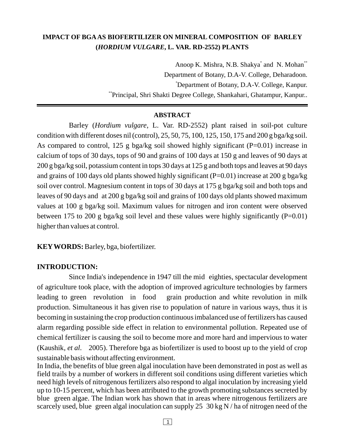## **IMPACT OF BGA AS BIOFERTILIZER ON MINERAL COMPOSITION OF BARLEY ( , L. VAR. RD-2552) PLANTS** *HORDIUM VULGARE*

Anoop K. Mishra, N.B. Shakya<sup>\*</sup> and N. Mohan<sup>\*\*</sup> Department of Botany, D.A-V. College, Deharadoon. Department of Botany, D.A-V. College, Kanpur. \* \*\*Principal, Shri Shakti Degree College, Shankahari, Ghatampur, Kanpur..

#### **ABSTRACT**

Barley (*Hordium vulgare*, L. Var. RD-2552) plant raised in soil-pot culture condition with different doses nil (control), 25, 50, 75, 100, 125, 150, 175 and 200 g bga/kg soil. As compared to control, 125 g bga/kg soil showed highly significant  $(P=0.01)$  increase in calcium of tops of 30 days, tops of 90 and grains of 100 days at 150 g and leaves of 90 days at 200 g bga/kg soil, potassium content in tops 30 days at 125 g and both tops and leaves at 90 days and grains of 100 days old plants showed highly significant (P=0.01) increase at 200 g bga/kg soil over control. Magnesium content in tops of 30 days at 175 g bga/kg soil and both tops and leaves of 90 days and at 200 g bga/kg soil and grains of 100 days old plants showed maximum values at 100 g bga/kg soil. Maximum values for nitrogen and iron content were observed between 175 to 200 g bga/kg soil level and these values were highly significantly  $(P=0.01)$ higher than values at control.

**KEY WORDS:** Barley, bga, biofertilizer.

#### **INTRODUCTION:**

Since India's independence in 1947 till the mid eighties, spectacular development of agriculture took place, with the adoption of improved agriculture technologies by farmers leading to green revolution in food grain production and white revolution in milk production. Simultaneous it has given rise to population of nature in various ways, thus it is becoming in sustaining the crop production continuous imbalanced use of fertilizers has caused alarm regarding possible side effect in relation to environmental pollution. Repeated use of chemical fertilizer is causing the soil to become more and more hard and impervious to water (Kaushik, et al. 2005). Therefore bga as biofertilizer is used to boost up to the yield of crop sustainable basis without affecting environment.

In India, the benefits of blue green algal inoculation have been demonstrated in post as well as field trails by a number of workers in different soil conditions using different varieties which need high levels of nitrogenous fertilizers also respond to algal inoculation by increasing yield up to 10-15 percent, which has been attributed to the growth promoting substances secreted by blue green algae. The Indian work has shown that in areas where nitrogenous fertilizers are scarcely used, blue green algal inoculation can supply 25 30 kg N / ha of nitrogen need of the

 $\boxed{1}$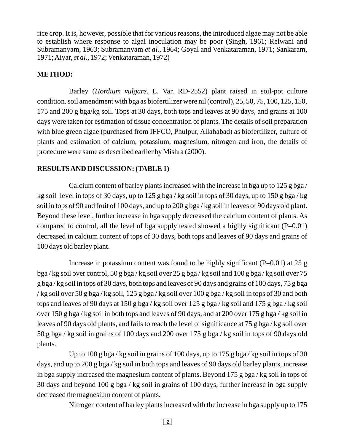rice crop. It is, however, possible that for various reasons, the introduced algae may not be able to establish where response to algal inoculation may be poor (Singh, 1961; Relwani and Subramanyam, 1963; Subramanyam et al., 1964; Goyal and Venkataraman, 1971; Sankaram, 1971; Aiyar, et al., 1972; Venkataraman, 1972)

#### **METHOD:**

Barley (*Hordium vulgare*, L. Var. RD-2552) plant raised in soil-pot culture condition. soil amendment with bga as biofertilizer were nil (control), 25, 50, 75, 100, 125, 150, 175 and 200 g bga/kg soil. Tops at 30 days, both tops and leaves at 90 days, and grains at 100 days were taken for estimation of tissue concentration of plants. The details of soil preparation with blue green algae (purchased from IFFCO, Phulpur, Allahabad) as biofertilizer, culture of plants and estimation of calcium, potassium, magnesium, nitrogen and iron, the details of procedure were same as described earlier by Mishra (2000).

## **RESULTSAND DISCUSSION: (TABLE 1)**

Calcium content of barley plants increased with the increase in bga up to 125 g bga / kg soil level in tops of 30 days, up to 125 g bga / kg soil in tops of 30 days, up to 150 g bga / kg soil in tops of 90 and fruit of 100 days, and up to 200 g bga / kg soil in leaves of 90 days old plant. Beyond these level, further increase in bga supply decreased the calcium content of plants. As compared to control, all the level of bga supply tested showed a highly significant  $(P=0.01)$ decreased in calcium content of tops of 30 days, both tops and leaves of 90 days and grains of 100 days old barley plant.

Increase in potassium content was found to be highly significant ( $P=0.01$ ) at 25 g bga / kg soil over control, 50 g bga / kg soil over 25 g bga / kg soil and 100 g bga / kg soil over 75 g bga / kg soil in tops of 30 days, both tops and leaves of 90 days and grains of 100 days, 75 g bga / kg soil over 50 g bga / kg soil, 125 g bga / kg soil over 100 g bga / kg soil in tops of 30 and both tops and leaves of 90 days at 150 g bga / kg soil over 125 g bga / kg soil and 175 g bga / kg soil over 150 g bga / kg soil in both tops and leaves of 90 days, and at 200 over 175 g bga / kg soil in leaves of 90 days old plants, and fails to reach the level of significance at 75 g bga / kg soil over 50 g bga / kg soil in grains of 100 days and 200 over 175 g bga / kg soil in tops of 90 days old plants.

Up to 100 g bga/kg soil in grains of 100 days, up to 175 g bga/kg soil in tops of 30 days, and up to 200 g bga / kg soil in both tops and leaves of 90 days old barley plants, increase in bga supply increased the magnesium content of plants. Beyond 175 g bga / kg soil in tops of 30 days and beyond 100 g bga / kg soil in grains of 100 days, further increase in bga supply decreased the magnesium content of plants.

Nitrogen content of barley plants increased with the increase in bga supply up to 175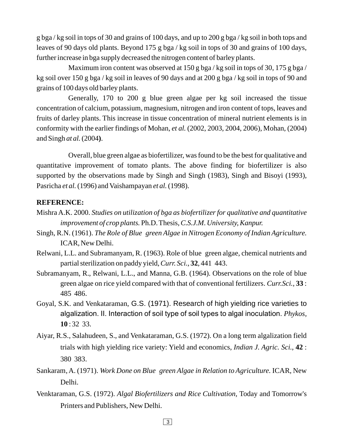g bga / kg soil in tops of 30 and grains of 100 days, and up to 200 g bga / kg soil in both tops and leaves of 90 days old plants. Beyond 175 g bga / kg soil in tops of 30 and grains of 100 days, further increase in bga supply decreased the nitrogen content of barley plants.

Maximum iron content was observed at 150 g bga/kg soil in tops of 30, 175 g bga/ kg soil over 150 g bga / kg soil in leaves of 90 days and at 200 g bga / kg soil in tops of 90 and grains of 100 days old barley plants.

Generally, 170 to 200 g blue green algae per kg soil increased the tissue concentration of calcium, potassium, magnesium, nitrogen and iron content of tops, leaves and fruits of darley plants. This increase in tissue concentration of mineral nutrient elements is in conformity with the earlier findings of Mohan, et al. (2002, 2003, 2004, 2006), Mohan, (2004) and Singh *at al.* (2004).

Overall, blue green algae as biofertilizer, was found to be the best for qualitative and quantitative improvement of tomato plants. The above finding for biofertilizer is also supported by the observations made by Singh and Singh (1983), Singh and Bisoyi (1993), Pasricha et al. (1996) and Vaishampayan et al. (1998).

#### **REFERENCE:**

- Mishra A.K. 2000. *Studies on utilization of bga as biofertilizer for qualitative and quantitative* improvement of crop plants. Ph.D. Thesis, C.S.J.M. University, Kanpur.
- Singh, R.N. (1961). *The Role of Blue green Algae in Nitrogen Economy of Indian Agriculture.* ICAR, New Delhi.
- Relwani, L.L. and Subramanyam, R. (1963). Role of blue green algae, chemical nutrients and partial sterilization on paddy yield, Curr. Sci., 32, 441 443.
- Subramanyam, R., Relwani, L.L., and Manna, G.B. (1964). Observations on the role of blue green algae on rice yield compared with that of conventional fertilizers. Curr.Sci., 33: 485 486.
- Goyal, S.K. and Venkataraman, G.S. (1971). Research of high yielding rice varieties to : 32 33. **10** algalization. II. Interaction of soil type of soil types to algal inoculation. Phykos,
- Aiyar, R.S., Salahudeen, S., and Venkataraman, G.S. (1972). On a long term algalization field trials with high yielding rice variety: Yield and economics, *Indian J. Agric. Sci.*, 42: 380 383.
- Sankaram, A. (1971). Work Done on Blue green Algae in Relation to Agriculture. ICAR, New Delhi.
- Venktaraman, G.S. (1972). Algal Biofertilizers and Rice Cultivation, Today and Tomorrow's Printers and Publishers, New Delhi.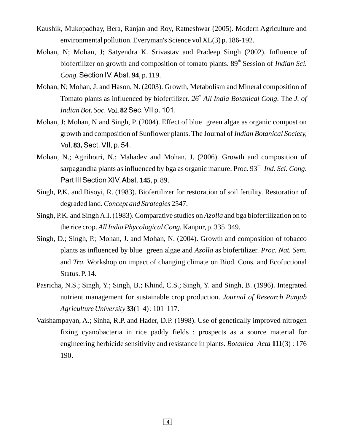- Kaushik, Mukopadhay, Bera, Ranjan and Roy, Ratneshwar (2005). Modern Agriculture and environmental pollution. Everyman's Science vol XL(3) p. 186-192.
- Mohan, N; Mohan, J; Satyendra K. Srivastav and Pradeep Singh (2002). Influence of biofertilizer on growth and composition of tomato plants. 89<sup>th</sup> Session of *Indian Sci*. , p. 119. *Cong.* Section ΙV.Abst. **94**
- Mohan, N; Mohan, J. and Hason, N. (2003). Growth, Metabolism and Mineral composition of Tomato plants as influenced by biofertilizer. 26<sup>th</sup> All India Botanical Cong. The J. of *Indian Bot. Soc.* Vol. **82 Sec. VII p. 101.**
- Mohan, J; Mohan, N and Singh, P. (2004). Effect of blue green algae as organic compost on growth and composition of Sunflower plants. The Journal of *Indian Botanical Society,* Vol. Sect. VΙΙ, p. 54. **83,**
- Mohan, N.; Agnihotri, N.; Mahadev and Mohan, J. (2006). Growth and composition of sarpagandha plants as influenced by bga as organic manure. Proc. 93<sup>rd</sup> Ind. Sci. Cong. Part III Section XIV, Abst. 145, p. 89.
- Singh, P.K. and Bisoyi, R. (1983). Biofertilizer for restoration of soil fertility. Restoration of degraded land. Concept and Strategies 2547.
- Singh, P.K. and Singh A.I. (1983). Comparative studies on Azolla and bga biofertilization on to the rice crop. All India Phycological Cong. Kanpur, p. 335 349.
- Singh, D.; Singh, P.; Mohan, J. and Mohan, N. (2004). Growth and composition of tobacco plants as influenced by blue green algae and Azolla as biofertilizer. Proc. Nat. Sem. and Tra. Workshop on impact of changing climate on Biod. Cons. and Ecofuctional Status. P. 14.
- Pasricha, N.S.; Singh, Y.; Singh, B.; Khind, C.S.; Singh, Y. and Singh, B. (1996). Integrated nutrient management for sustainable crop production. *Journal of Research Punjab* (1 4) : 101 117. *Agriculture University* **33**
- Vaishampayan, A.; Sinha, R.P. and Hader, D.P. (1998). Use of genetically improved nitrogen fixing cyanobacteria in rice paddy fields : prospects as a source material for engineering herbicide sensitivity and resistance in plants. Botanica Acta 111(3): 176 190.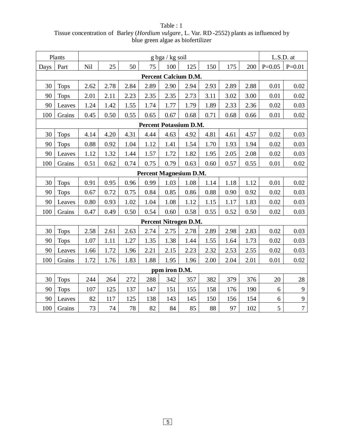|      | Plants                 | $g$ bga / kg soil |      |      |                               |                             |      |      |      |      | L.S.D. at |                  |
|------|------------------------|-------------------|------|------|-------------------------------|-----------------------------|------|------|------|------|-----------|------------------|
| Days | Part                   | Nil               | 25   | 50   | 75                            | 100                         | 125  | 150  | 175  | 200  | $P=0.05$  | $P=0.01$         |
|      |                        |                   |      |      |                               | <b>Percent Calcium D.M.</b> |      |      |      |      |           |                  |
| 30   | <b>Tops</b>            | 2.62              | 2.78 | 2.84 | 2.89                          | 2.90                        | 2.94 | 2.93 | 2.89 | 2.88 | 0.01      | 0.02             |
| 90   | <b>Tops</b>            | 2.01              | 2.11 | 2.23 | 2.35                          | 2.35                        | 2.73 | 3.11 | 3.02 | 3.00 | 0.01      | 0.02             |
| 90   | Leaves                 | 1.24              | 1.42 | 1.55 | 1.74                          | 1.77                        | 1.79 | 1.89 | 2.33 | 2.36 | 0.02      | 0.03             |
| 100  | Grains                 | 0.45              | 0.50 | 0.55 | 0.65                          | 0.67                        | 0.68 | 0.71 | 0.68 | 0.66 | 0.01      | 0.02             |
|      |                        |                   |      |      | <b>Percent Potassium D.M.</b> |                             |      |      |      |      |           |                  |
| 30   | <b>Tops</b>            | 4.14              | 4.20 | 4.31 | 4.44                          | 4.63                        | 4.92 | 4.81 | 4.61 | 4.57 | 0.02      | 0.03             |
| 90   | <b>Tops</b>            | 0.88              | 0.92 | 1.04 | 1.12                          | 1.41                        | 1.54 | 1.70 | 1.93 | 1.94 | 0.02      | 0.03             |
| 90   | Leaves                 | 1.12              | 1.32 | 1.44 | 1.57                          | 1.72                        | 1.82 | 1.95 | 2.05 | 2.08 | 0.02      | 0.03             |
| 100  | Grains                 | 0.51              | 0.62 | 0.74 | 0.75                          | 0.79                        | 0.63 | 0.60 | 0.57 | 0.55 | 0.01      | 0.02             |
|      | Percent Magnesium D.M. |                   |      |      |                               |                             |      |      |      |      |           |                  |
| 30   | <b>Tops</b>            | 0.91              | 0.95 | 0.96 | 0.99                          | 1.03                        | 1.08 | 1.14 | 1.18 | 1.12 | 0.01      | 0.02             |
| 90   | <b>Tops</b>            | 0.67              | 0.72 | 0.75 | 0.84                          | 0.85                        | 0.86 | 0.88 | 0.90 | 0.92 | 0.02      | 0.03             |
| 90   | Leaves                 | 0.80              | 0.93 | 1.02 | 1.04                          | 1.08                        | 1.12 | 1.15 | 1.17 | 1.83 | 0.02      | 0.03             |
| 100  | Grains                 | 0.47              | 0.49 | 0.50 | 0.54                          | 0.60                        | 0.58 | 0.55 | 0.52 | 0.50 | 0.02      | 0.03             |
|      |                        |                   |      |      |                               | Percent Nitrogen D.M.       |      |      |      |      |           |                  |
| 30   | <b>Tops</b>            | 2.58              | 2.61 | 2.63 | 2.74                          | 2.75                        | 2.78 | 2.89 | 2.98 | 2.83 | 0.02      | 0.03             |
| 90   | <b>Tops</b>            | 1.07              | 1.11 | 1.27 | 1.35                          | 1.38                        | 1.44 | 1.55 | 1.64 | 1.73 | 0.02      | 0.03             |
| 90   | Leaves                 | 1.66              | 1.72 | 1.96 | 2.21                          | 2.15                        | 2.23 | 2.32 | 2.53 | 2.55 | 0.02      | 0.03             |
| 100  | Grains                 | 1.72              | 1.76 | 1.83 | 1.88                          | 1.95                        | 1.96 | 2.00 | 2.04 | 2.01 | 0.01      | 0.02             |
|      |                        |                   |      |      |                               | ppm iron D.M.               |      |      |      |      |           |                  |
| 30   | <b>Tops</b>            | 244               | 264  | 272  | 288                           | 342                         | 357  | 382  | 379  | 376  | 20        | 28               |
| 90   | <b>Tops</b>            | 107               | 125  | 137  | 147                           | 151                         | 155  | 158  | 176  | 190  | 6         | $\overline{9}$   |
| 90   | Leaves                 | 82                | 117  | 125  | 138                           | 143                         | 145  | 150  | 156  | 154  | 6         | $\mathbf{9}$     |
| 100  | Grains                 | 73                | 74   | 78   | 82                            | 84                          | 85   | 88   | 97   | 102  | 5         | $\boldsymbol{7}$ |

Table : 1 Tissue concentration of Barley (*Hordium vulgare*, L. Var. RD -2552) plants as influenced by blue green algae as biofertilizer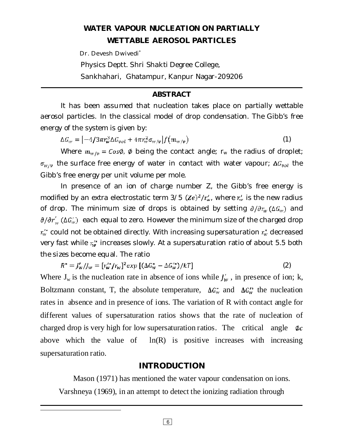## **WATER VAPOUR NUCLEATION ON PARTIALLY WETTABLE AEROSOL PARTICLES**

Dr. Devesh Dwivedi

Physics Deptt. Shri Shakti Degree College,

Sankhahari, Ghatampur, Kanpur Nagar-209206

## **ABSTRACT**

It has been assumed that nucleation takes place on partially wettable aerosol particles. In the classical model of drop condensation. The Gibb's free energy of the system is given by:

 $\Delta G_w = \left[ -4/3\pi r_w^3 \Delta G_{vol} + 4\pi r_w^2 \sigma_{W/E} \right] f(m_{W/E})$ (1)

Where  $m_{w/v} = \cos \phi$ ,  $\phi$  being the contact angle; r<sub>w</sub> the radius of droplet;  $\sigma_{W/V}$  the surface free energy of water in contact with water vapour;  $\Delta G_{vol}$  the Gibb's free energy per unit volume per mole.

In presence of an ion of charge number Z, the Gibb's free energy is modified by an extra electrostatic term  $3/5$  ( $\mathbb{Z}e)^2/r_w$ , where  $r_w$  is the new radius of drop. The minimum size of drops is obtained by setting  $\partial/\partial r_w(\Delta G_w)$  and  $\partial/\partial r'_{\omega}$  ( $\Delta G'_{\omega}$ ) each equal to zero. However the minimum size of the charged drop  $r_w$  could not be obtained directly. With increasing supersaturation  $r_w$  decreased very fast while  $\tau_{w}^{'}$  increases slowly. At a supersaturation ratio of about 5.5 both the sizes become equal. The ratio

$$
R^* = J'_w / J_w = [\tau_w'^* / \tau_w]^2 \exp\left[ (\Delta G_w^* - \Delta G_w'^*) / kT \right]
$$
 (2)

Where  $J_w$  is the nucleation rate in absence of ions while  $J'_w$ , in presence of ion; k, Boltzmann constant, T, the absolute temperature,  $\Delta G_w^*$  and  $\Delta G_w^*$  the nucleation rates in absence and in presence of ions. The variation of R with contact angle for different values of supersaturation ratios shows that the rate of nucleation of charged drop is very high for low supersaturation ratios. The critical angle  $\phi_c$ above which the value of  $ln(R)$  is positive increases with increasing supersaturation ratio.

## **INTRODUCTION**

Mason (1971) has mentioned the water vapour condensation on ions. Varshneya (1969), in an attempt to detect the ionizing radiation through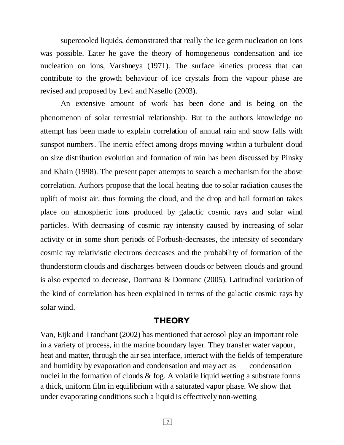supercooled liquids, demonstrated that really the ice germ nucleation on ions was possible. Later he gave the theory of homogeneous condensation and ice nucleation on ions, Varshneya (1971). The surface kinetics process that can contribute to the growth behaviour of ice crystals from the vapour phase are revised and proposed by Levi and Nasello (2003).

An extensive amount of work has been done and is being on the phenomenon of solar terrestrial relationship. But to the authors knowledge no attempt has been made to explain correlation of annual rain and snow falls with sunspot numbers. The inertia effect among drops moving within a turbulent cloud on size distribution evolution and formation of rain has been discussed by Pinsky and Khain (1998). The present paper attempts to search a mechanism for the above correlation. Authors propose that the local heating due to solar radiation causes the uplift of moist air, thus forming the cloud, and the drop and hail formation takes place on atmospheric ions produced by galactic cosmic rays and solar wind particles. With decreasing of cosmic ray intensity caused by increasing of solar activity or in some short periods of Forbush-decreases, the intensity of secondary cosmic ray relativistic electrons decreases and the probability of formation of the thunderstorm clouds and discharges between clouds or between clouds and ground is also expected to decrease, Dormana & Dormanc (2005). Latitudinal variation of the kind of correlation has been explained in terms of the galactic cosmic rays by solar wind.

#### **THEORY**

Van, Eijk and Tranchant (2002) has mentioned that aerosol play an important role in a variety of process, in the marine boundary layer. They transfer water vapour, heat and matter, through the air sea interface, interact with the fields of temperature and humidity by evaporation and condensation and may act as condensation nuclei in the formation of clouds  $\&$  fog. A volatile liquid wetting a substrate forms a thick, uniform film in equilibrium with a saturated vapor phase. We show that under evaporating conditions such a liquid is effectively non-wetting

7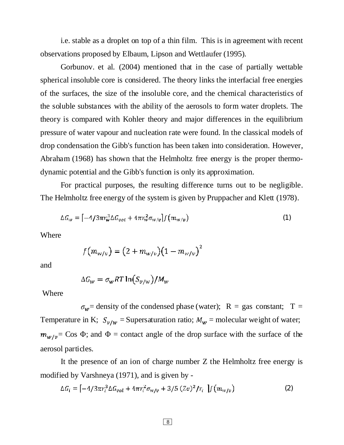i.e. stable as a droplet on top of a thin film. This is in agreement with recent observations proposed by Elbaum, Lipson and Wettlaufer (1995).

Gorbunov. et al. (2004) mentioned that in the case of partially wettable spherical insoluble core is considered. The theory links the interfacial free energies of the surfaces, the size of the insoluble core, and the chemical characteristics of the soluble substances with the ability of the aerosols to form water droplets. The theory is compared with Kohler theory and major differences in the equilibrium pressure of water vapour and nucleation rate were found. In the classical models of drop condensation the Gibb's function has been taken into consideration. However, Abraham (1968) has shown that the Helmholtz free energy is the proper thermodynamic potential and the Gibb's function is only its approximation.

For practical purposes, the resulting difference turns out to be negligible. The Helmholtz free energy of the system is given by Pruppacher and Klett (1978).

$$
\Delta G_{\nu\nu} = \left[ -4/3\pi r_{\nu}^3 \Delta G_{\nu\rho\tau} + 4\pi r_{\nu}^2 \sigma_{\nu\nu/\nu} \right] f(m_{\nu\nu/\nu}) \tag{1}
$$

Where

$$
f(m_{w/v}) = (2 + m_{w/v})(1 - m_{w/v})^{2}
$$

and

$$
\Delta G_W = \sigma_W RT \ln(S_{v/w})/M_w
$$

Where

 $\sigma_w$ = density of the condensed phase (water); R = gas constant; T = Temperature in K;  $S_{\nu/\nu}$  = Supersaturation ratio;  $M_{\nu}$  = molecular weight of water;  $m_{w/v}$  = Cos  $\Phi$ ; and  $\Phi$  = contact angle of the drop surface with the surface of the aerosol particles.

It the presence of an ion of charge number Z the Helmholtz free energy is modified by Varshneya (1971), and is given by -

$$
\Delta G_i = \left[ -4/3\pi r_i^3 \Delta G_{vol} + 4\pi r_i^2 \sigma_{w/v} + 3/5 (Ze)^2 / r_i \right] f(m_{w/v}) \tag{2}
$$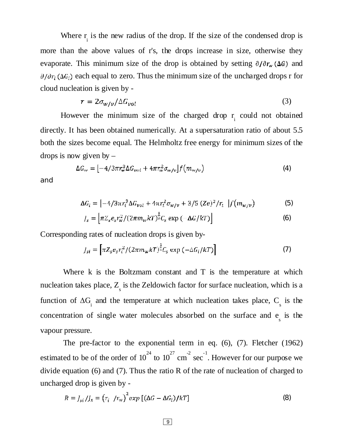Where  $r_i$  is the new radius of the drop. If the size of the condensed drop is more than the above values of r's, the drops increase in size, otherwise they evaporate. This minimum size of the drop is obtained by setting  $\partial/\partial r_w(\Delta G)$  and  $\partial/\partial r_i(\Delta G_i)$  each equal to zero. Thus the minimum size of the uncharged drops r for cloud nucleation is given by -

$$
\tau = 2\sigma_{\text{w}/\text{v}}/\Delta G_{\text{vol}} \tag{3}
$$

However the minimum size of the charged drop  $r_i$  could not obtained directly. It has been obtained numerically. At a supersaturation ratio of about 5.5 both the sizes become equal. The Helmholtz free energy for minimum sizes of the drops is now given by  $-$ 

$$
\Delta G_{\nu} = \left[ -4/3\pi r_{\nu}^3 \Delta G_{\nu\alpha l} + 4\pi r_{\nu}^2 \sigma_{\nu\nu/v} \right] f(m_{\nu\nu/v}) \tag{4}
$$

and

$$
\Delta G_i = \left[ -4/3\pi r_i^3 \Delta G_{\nu o} + 4\pi r_i^2 \sigma_{w/v} + 3/5 (Ze)^2 / r_i \right] f(m_{w/v}) \tag{5}
$$

$$
J_s = \left[ \pi Z_s e_s r_w^2 / (2\pi m_w kT)^{\frac{1}{2}} C_s \exp\left(-\Delta G / kT\right) \right]
$$
 (6)

Corresponding rates of nucleation drops is given by-

$$
J_{si} = \left[ \pi Z_s e_s r_i^2 / (2\pi m_w kT)^{\frac{1}{2}} C_s \exp\left(-\Delta G_i / kT\right) \right]
$$
 (7)

Where  $k$  is the Boltzmam constant and  $T$  is the temperature at which nucleation takes place,  $Z_{\text{s}}$  is the Zeldowich factor for surface nucleation, which is a function of  $\Delta G$ <sub>i</sub> and the temperature at which nucleation takes place,  $C_s$  is the concentration of single water molecules absorbed on the surface and  $e_s$  is the vapour pressure.

The pre-factor to the exponential term in eq. (6), (7). Fletcher (1962) estimated to be of the order of  $10^{24}$  to  $10^{27}$  cm<sup>-2</sup> sec<sup>-1</sup>. However for our purpose we divide equation (6) and (7). Thus the ratio R of the rate of nucleation of charged to uncharged drop is given by -

$$
R = J_{si}/J_s = (r_i / r_w)^2 exp [(\Delta G - \Delta G_i)/kT]
$$
\n(8)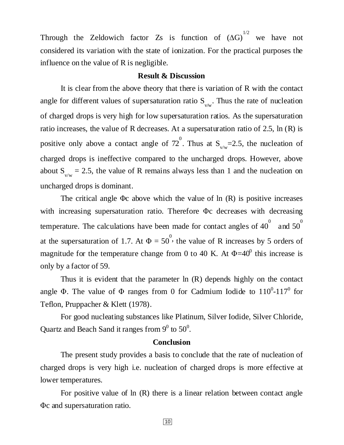Through the Zeldowich factor Zs is function of  $(\Delta G)^{1/2}$  we have not considered its variation with the state of ionization. For the practical purposes the influence on the value of R is negligible.

#### **Result & Discussion**

It is clear from the above theory that there is variation of R with the contact angle for different values of supersaturation ratio  $S_{v/w}$ . Thus the rate of nucleation of charged drops is very high for low supersaturation ratios. As the supersaturation ratio increases, the value of R decreases. At a supersaturation ratio of 2.5, ln (R) is positive only above a contact angle of  $72^{\circ}$ . Thus at  $S_{v/w} = 2.5$ , the nucleation of charged drops is ineffective compared to the uncharged drops. However, above about  $S_{v/w} = 2.5$ , the value of R remains always less than 1 and the nucleation on uncharged drops is dominant.

The critical angle  $\Phi$ c above which the value of ln  $(R)$  is positive increases with increasing supersaturation ratio. Therefore Φc decreases with decreasing temperature. The calculations have been made for contact angles of 40 $^{0}$  and 50 $^{0}$ at the supersaturation of 1.7. At  $\Phi = 50^{\circ}$ , the value of R increases by 5 orders of magnitude for the temperature change from 0 to 40 K. At  $\Phi$ =40<sup>0</sup> this increase is only by a factor of 59.

Thus it is evident that the parameter ln (R) depends highly on the contact angle  $\Phi$ . The value of  $\Phi$  ranges from 0 for Cadmium Iodide to  $110^0$ - $117^0$  for Teflon, Pruppacher & Klett (1978).

For good nucleating substances like Platinum, Silver Iodide, Silver Chloride, Quartz and Beach Sand it ranges from  $9^0$  to  $50^0$ .

#### **Conclusion**

The present study provides a basis to conclude that the rate of nucleation of charged drops is very high i.e. nucleation of charged drops is more effective at lower temperatures.

For positive value of ln (R) there is a linear relation between contact angle Φc and supersaturation ratio.

10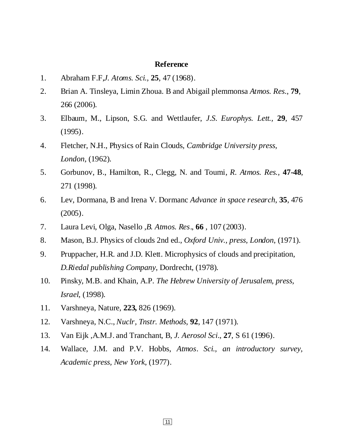#### **Reference**

- 1. Abraham F.F,*J. Atoms. Sci.,* **25**, 47 (1968).
- 2. Brian A. Tinsleya, Limin Zhoua. B and Abigail plemmonsa *Atmos. Res*., **79**, 266 (2006).
- 3. Elbaum, M., Lipson, S.G. and Wettlaufer, *J.S. Europhys. Lett.,* **29**, 457 (1995).
- 4. Fletcher, N.H., Physics of Rain Clouds, *Cambridge University press, London*, (1962).
- 5. Gorbunov, B., Hamilton, R., Clegg, N. and Toumi, *R. Atmos. Res.,* **47-48**, 271 (1998).
- 6. Lev, Dormana, B and Irena V. Dormanc *Advance in space research*, **35**, 476 (2005).
- 7. Laura Levi, Olga, Nasello ,*B. Atmos. Res*., **66** , 107 (2003).
- 8. Mason, B.J. Physics of clouds 2nd ed., *Oxford Univ., press, London*, (1971).
- 9. Pruppacher, H.R. and J.D. Klett. Microphysics of clouds and precipitation, *D.Riedal publishing Company*, Dordrecht, (1978).
- 10. Pinsky, M.B. and Khain, A.P. *The Hebrew University of Jerusalem, press, Israel*, (1998).
- 11. Varshneya, Nature, **223,** 826 (1969).
- 12. Varshneya, N.C., *Nuclr, Tnstr. Methods*, **92**, 147 (1971).
- 13. Van Eijk ,A.M.J. and Tranchant, B, *J. Aerosol Sci.,* **27**, S 61 (1996).
- 14. Wallace, J.M. and P.V. Hobbs, *Atmos. Sci., an introductory survey, Academic press, New York*, (1977).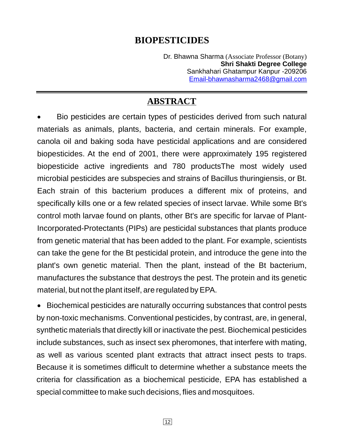## **BIOPESTICIDES**

Dr. Bhawna Sharma (Associate Professor (Botany) Sankhahari Ghatampur Kanpur -209206 **Shri Shakti Degree College** Email-bhawnasharma2468@gmail.com

## **ABSTRACT**

 Bio pesticides are certain types of pesticides derived from such natural materials as animals, plants, bacteria, and certain minerals. For example, canola oil and baking soda have pesticidal applications and are considered biopesticides. At the end of 2001, there were approximately 195 registered biopesticide active ingredients and 780 productsThe most widely used microbial pesticides are subspecies and strains of Bacillus thuringiensis, or Bt. Each strain of this bacterium produces a different mix of proteins, and specifically kills one or a few related species of insect larvae. While some Bt's control moth larvae found on plants, other Bt's are specific for larvae of Plant-Incorporated-Protectants (PIPs) are pesticidal substances that plants produce from genetic material that has been added to the plant. For example, scientists can take the gene for the Bt pesticidal protein, and introduce the gene into the plant's own genetic material. Then the plant, instead of the Bt bacterium, manufactures the substance that destroys the pest. The protein and its genetic material, but not the plant itself, are regulated by EPA.

special committee to make such decisions, flies and mosquitoes. Biochemical pesticides are naturally occurring substances that control pests by non-toxic mechanisms. Conventional pesticides, by contrast, are, in general, synthetic materials that directly kill or inactivate the pest. Biochemical pesticides include substances, such as insect sex pheromones, that interfere with mating, as well as various scented plant extracts that attract insect pests to traps. Because it is sometimes difficult to determine whether a substance meets the criteria for classification as a biochemical pesticide, EPA has established a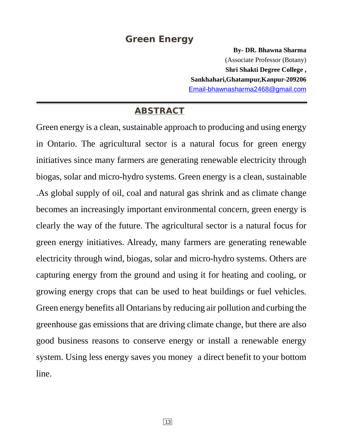## **Green Energy**

**By- DR. Bhawna Sharma Shri Shakti Degree College , Sankhahari,Ghatampur,Kanpur-209206** (Associate Professor (Botany) Email-bhawnasharma2468@gmail.com

## **ABSTRACT**

Green energy is a clean, sustainable approach to producing and using energy in Ontario. The agricultural sector is a natural focus for green energy initiatives since many farmers are generating renewable electricity through biogas, solar and micro-hydro systems. Green energy is a clean, sustainable .As global supply of oil, coal and natural gas shrink and as climate change becomes an increasingly important environmental concern, green energy is clearly the way of the future. The agricultural sector is a natural focus for green energy initiatives. Already, many farmers are generating renewable electricity through wind, biogas, solar and micro-hydro systems. Others are capturing energy from the ground and using it for heating and cooling, or growing energy crops that can be used to heat buildings or fuel vehicles. Green energy benefits all Ontarians by reducing air pollution and curbing the greenhouse gas emissions that are driving climate change, but there are also good business reasons to conserve energy or install a renewable energy system. Using less energy saves you money a direct benefit to your bottom line.

13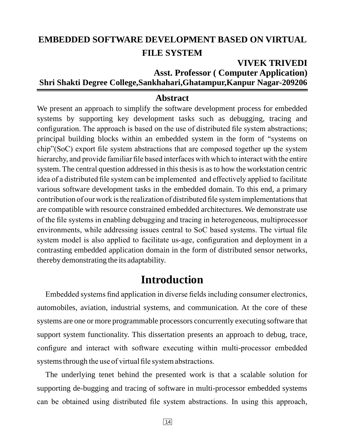## **EMBEDDED SOFTWARE DEVELOPMENT BASED ON VIRTUAL FILE SYSTEM**

## **VIVEK TRIVEDI Asst. Professor ( Computer Application) Shri Shakti Degree College,Sankhahari,Ghatampur,Kanpur Nagar-209206**

## **Abstract**

We present an approach to simplify the software development process for embedded systems by supporting key development tasks such as debugging, tracing and configuration. The approach is based on the use of distributed file system abstractions; principal building blocks within an embedded system in the form of "systems on chip"(SoC) export file system abstractions that are composed together up the system hierarchy, and provide familiar file based interfaces with which to interact with the entire system. The central question addressed in this thesis is as to how the workstation centric idea of a distributed file system can be implemented and effectively applied to facilitate various software development tasks in the embedded domain. To this end, a primary contribution of our work is the realization of distributed file system implementations that are compatible with resource constrained embedded architectures. We demonstrate use of the file systems in enabling debugging and tracing in heterogeneous, multiprocessor environments, while addressing issues central to SoC based systems. The virtual file system model is also applied to facilitate us-age, configuration and deployment in a contrasting embedded application domain in the form of distributed sensor networks, thereby demonstrating the its adaptability.

## **Introduction**

Embedded systems find application in diverse fields including consumer electronics, automobiles, aviation, industrial systems, and communication. At the core of these systems are one or more programmable processors concurrently executing software that support system functionality. This dissertation presents an approach to debug, trace, configure and interact with software executing within multi-processor embedded systems through the use of virtual file system abstractions.

The underlying tenet behind the presented work is that a scalable solution for supporting de-bugging and tracing of software in multi-processor embedded systems can be obtained using distributed file system abstractions. In using this approach,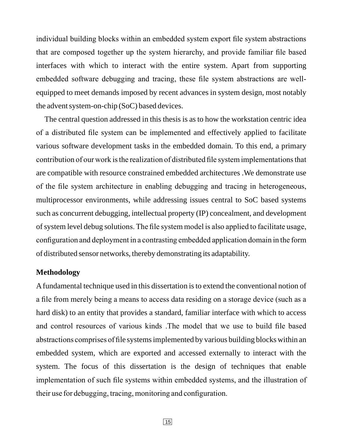individual building blocks within an embedded system export file system abstractions that are composed together up the system hierarchy, and provide familiar file based interfaces with which to interact with the entire system. Apart from supporting embedded software debugging and tracing, these file system abstractions are wellequipped to meet demands imposed by recent advances in system design, most notably the advent system-on-chip (SoC) based devices.

The central question addressed in this thesis is as to how the workstation centric idea of a distributed file system can be implemented and effectively applied to facilitate various software development tasks in the embedded domain. To this end, a primary contribution of our work is the realization of distributed file system implementations that are compatible with resource constrained embedded architectures .We demonstrate use of the file system architecture in enabling debugging and tracing in heterogeneous, multiprocessor environments, while addressing issues central to SoC based systems such as concurrent debugging, intellectual property (IP) concealment, and development of system level debug solutions. The file system model is also applied to facilitate usage, configuration and deployment in a contrasting embedded application domain in the form of distributed sensor networks, thereby demonstrating its adaptability.

#### **Methodology**

Afundamental technique used in this dissertation is to extend the conventional notion of a file from merely being a means to access data residing on a storage device (such as a hard disk) to an entity that provides a standard, familiar interface with which to access and control resources of various kinds .The model that we use to build file based abstractions comprises of file systems implemented by various building blocks within an embedded system, which are exported and accessed externally to interact with the system. The focus of this dissertation is the design of techniques that enable implementation of such file systems within embedded systems, and the illustration of their use for debugging, tracing, monitoring and configuration.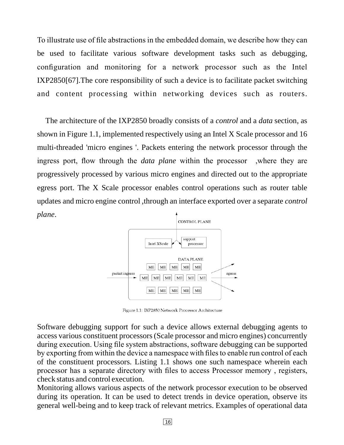To illustrate use of file abstractions in the embedded domain, we describe how they can be used to facilitate various software development tasks such as debugging, configuration and monitoring for a network processor such as the Intel IXP2850[67].The core responsibility of such a device is to facilitate packet switching and content processing within networking devices such as routers.

The architecture of the IXP2850 broadly consists of a *control* and a *data* section, as shown in Figure 1.1, implemented respectively using an Intel X Scale processor and 16 multi-threaded 'micro engines '. Packets entering the network processor through the ingress port, flow through the *data plane* within the processor , where they are progressively processed by various micro engines and directed out to the appropriate egress port. The X Scale processor enables control operations such as router table updates and micro engine control ,through an interface exported over a separate *control* . *plane*



Figure 1.1: IXP2850 Network Processor Architecture

Software debugging support for such a device allows external debugging agents to access various constituent processors (Scale processor and micro engines) concurrently during execution. Using file system abstractions, software debugging can be supported by exporting from within the device a namespace with files to enable run control of each of the constituent processors. Listing 1.1 shows one such namespace wherein each processor has a separate directory with files to access Processor memory , registers, check status and control execution.

Monitoring allows various aspects of the network processor execution to be observed during its operation. It can be used to detect trends in device operation, observe its general well-being and to keep track of relevant metrics. Examples of operational data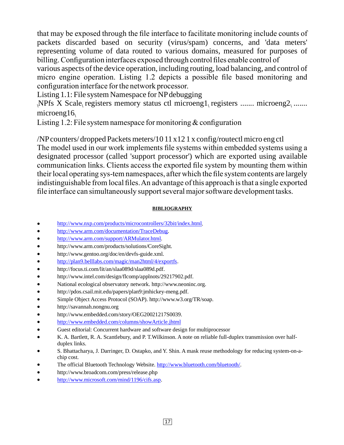that may be exposed through the file interface to facilitate monitoring include counts of packets discarded based on security (virus/spam) concerns, and 'data meters' representing volume of data routed to various domains, measured for purposes of billing. Configuration interfaces exposed through control files enable control of

various aspects of the device operation, including routing, load balancing, and control of micro engine operation. Listing 1.2 depicts a possible file based monitoring and configuration interface for the network processor.

Listing 1.1: File system Namespace for NPdebugging

 $\Delta N$ Pfs X Scale, registers memory status ctl microeng1, registers ....... microeng2, ....... microeng16

Listing 1.2: File system namespace for monitoring  $&$  configuration

/NPcounters/ dropped Packets meters/10 11 x12 1 x config/routectl micro eng ctl The model used in our work implements file systems within embedded systems using a designated processor (called 'support processor') which are exported using available communication links. Clients access the exported file system by mounting them within their local operating sys-tem namespaces, after which the file system contents are largely indistinguishable from local files.An advantage of this approach is that a single exported file interface can simultaneously support several major software development tasks.

#### **BIBLIOGRAPHY**

- $\bullet$ http://www.nxp.com/products/microcontrollers/32bit/index.html.
- $\bullet$ http://www.arm.com/documentation/TraceDebug.
- $\bullet$ http://www.arm.com/support/ARMulator.html.
- $\bullet$ http://www.arm.com/products/solutions/CoreSight.
- $\bullet$ http://www.gentoo.org/doc/en/devfs-guide.xml.
- $\bullet$ http://plan9.belllabs.com/magic/man2html/4/exportfs.
- $\bullet$ http://focus.ti.com/lit/an/slaa089d/slaa089d.pdf.
- $\bullet$ http://www.intel.com/design/flcomp/applnots/29217902.pdf.
- $\bullet$ National ecological observatory network. http://www.neoninc.org.
- $\bullet$ http://pdos.csail.mit.edu/papers/plan9:jmhickey-meng.pdf.
- $\bullet$ Simple Object Access Protocol (SOAP). http://www.w3.org/TR/soap.
- $\bullet$ http://savannah.nongnu.org
- $\bullet$ http://www.embedded.com/story/OEG20021217S0039.
- $\bullet$ http://www.embedded.com/columns/showArticle.jhtml
- $\bullet$ Guest editorial: Concurrent hardware and software design for multiprocessor
- $\bullet$ K. A. Bartlett, R. A. Scantlebury, and P. T.Wilkinson. A note on reliable full-duplex transmission over halfduplex links.
- $\bullet$ S. Bhattacharya, J. Darringer, D. Ostapko, and Y. Shin. A mask reuse methodology for reducing system-on-achip cost.
- $\bullet$ The official Bluetooth Technology Website. http://www.bluetooth.com/bluetooth/.
- $\bullet$ http://www.broadcom.com/press/release.php
- $\bullet$ http://www.microsoft.com/mind/1196/cifs.asp.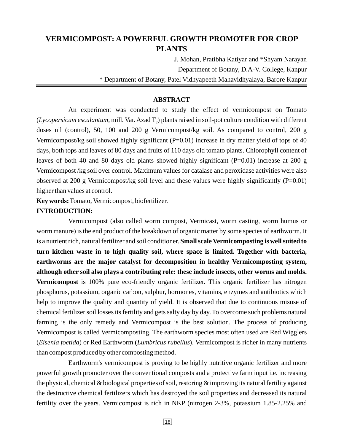## **VERMICOMPOST: A POWERFUL GROWTH PROMOTER FOR CROP PLANTS**

J. Mohan, Pratibha Katiyar and \*Shyam Narayan Department of Botany, D.A-V. College, Kanpur \* Department of Botany, Patel Vidhyapeeth Mahavidhyalaya, Barore Kanpur

#### **ABSTRACT**

An experiment was conducted to study the effect of vermicompost on Tomato  $(Lycopersicum esculantum, mill.   
   
   
   
   
   
   
   
   
   
   
 2) plants raised in soil-pot culture condition with different$ doses nil (control), 50, 100 and 200 g Vermicompost/kg soil. As compared to control, 200 g Vermicompost/kg soil showed highly significant (P=0.01) increase in dry matter yield of tops of 40 days, both tops and leaves of 80 days and fruits of 110 days old tomato plants. Chlorophyll content of leaves of both 40 and 80 days old plants showed highly significant (P=0.01) increase at 200 g Vermicompost /kg soil over control. Maximum values for catalase and peroxidase activities were also observed at 200 g Vermicompost/kg soil level and these values were highly significantly (P=0.01) higher than values at control.

Key words: Tomato, Vermicompost, biofertilizer.

#### **INTRODUCTION:**

Vermicompost (also called worm compost, Vermicast, worm casting, worm humus or worm manure) is the end product of the breakdown of organic matter by some species of earthworm. It is a nutrient rich, natural fertilizer and soil conditioner. **Small scale Vermicomposting is well suited to** Vermicompost is 100% pure eco-friendly organic fertilizer. This organic fertilizer has nitrogen phosphorus, potassium, organic carbon, sulphur, hormones, vitamins, enzymes and antibiotics which help to improve the quality and quantity of yield. It is observed that due to continuous misuse of chemical fertilizer soil losses its fertility and gets salty day by day. To overcome such problems natural farming is the only remedy and Vermicompost is the best solution. The process of producing Vermicompost is called Vermicomposting. The earthworm species most often used are Red Wigglers (Eisenia foetida) or Red Earthworm (Lumbricus rubellus). Vermicompost is richer in many nutrients than compost produced by other composting method. **turn kitchen waste in to high quality soil, where space is limited. Together with bacteria, earthworms are the major catalyst for decomposition in healthy Vermicomposting system, although other soil also plays a contributing role: these include insects, other worms and molds.**

Earthworm's vermicompost is proving to be highly nutritive organic fertilizer and more powerful growth promoter over the conventional composts and a protective farm input i.e. increasing the physical, chemical  $\&$  biological properties of soil, restoring  $\&$  improving its natural fertility against the destructive chemical fertilizers which has destroyed the soil properties and decreased its natural fertility over the years. Vermicompost is rich in NKP (nitrogen 2-3%, potassium 1.85-2.25% and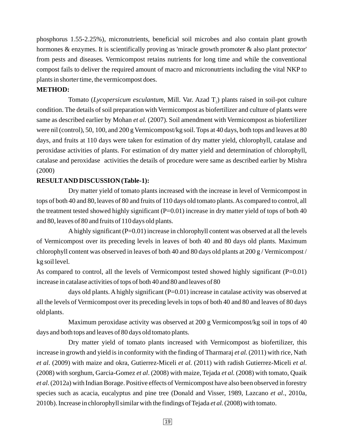phosphorus 1.55-2.25%), micronutrients, beneficial soil microbes and also contain plant growth hormones & enzymes. It is scientifically proving as 'miracle growth promoter & also plant protector' from pests and diseases. Vermicompost retains nutrients for long time and while the conventional compost fails to deliver the required amount of macro and micronutrients including the vital NKP to plants in shorter time, the vermicompost does.

#### **METHOD:**

Tomato (Lycopersicum esculantum, Mill. Var. Azad T<sub>2</sub>) plants raised in soil-pot culture condition. The details of soil preparation with Vermicompost as biofertilizer and culture of plants were same as described earlier by Mohan et al. (2007). Soil amendment with Vermicompost as biofertilizer were nil (control), 50, 100, and 200 g Vermicompost/kg soil. Tops at 40 days, both tops and leaves at 80 days, and fruits at 110 days were taken for estimation of dry matter yield, chlorophyll, catalase and peroxidase activities of plants. For estimation of dry matter yield and determination of chlorophyll, catalase and peroxidase activities the details of procedure were same as described earlier by Mishra (2000)

#### **RESULTAND DISCUSSION (Table-1):**

Dry matter yield of tomato plants increased with the increase in level of Vermicompost in tops of both 40 and 80, leaves of 80 and fruits of 110 days old tomato plants.As compared to control, all the treatment tested showed highly significant  $(P=0.01)$  increase in dry matter yield of tops of both 40 and 80, leaves of 80 and fruits of 110 days old plants.

A highly significant (P=0.01) increase in chlorophyll content was observed at all the levels of Vermicompost over its preceding levels in leaves of both 40 and 80 days old plants. Maximum chlorophyll content was observed in leaves of both 40 and 80 days old plants at 200 g / Vermicompost / kg soil level.

As compared to control, all the levels of Vermicompost tested showed highly significant (P=0.01) increase in catalase activities of tops of both 40 and 80 and leaves of 80

days old plants. A highly significant  $(P=0.01)$  increase in catalase activity was observed at all the levels of Vermicompost over its preceding levels in tops of both 40 and 80 and leaves of 80 days old plants.

Maximum peroxidase activity was observed at 200 g Vermicompost/kg soil in tops of 40 days and both tops and leaves of 80 days old tomato plants.

Dry matter yield of tomato plants increased with Vermicompost as biofertilizer, this increase in growth and yield is in conformity with the finding of Tharmaraj et al. (2011) with rice, Nath *et al.* (2009) with maize and okra, Gutierrez-Miceli *et al.* (2011) with radish Gutierrez-Miceli *et al.* (2008) with sorghum, Garcia-Gomez et al. (2008) with maize, Tejada et al. (2008) with tomato, Quaik . (2012a) with Indian Borage. Positive effects of Vermicompost have also been observed in forestry *et al* species such as acacia, eucalyptus and pine tree (Donald and Visser, 1989, Lazcano et al., 2010a, 2010b). Increase in chlorophyll similar with the findings of Tejada et al. (2008) with tomato.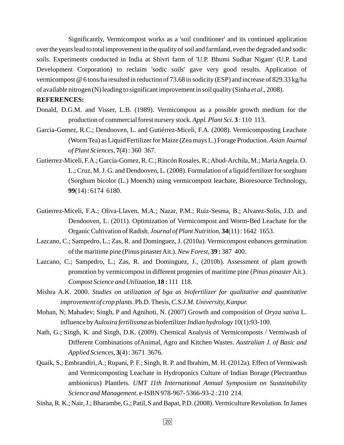Significantly, Vermicompost works as a 'soil conditioner' and its continued application over the years lead to total improvement in the quality of soil and farmland, even the degraded and sodic soils. Experiments conducted in India at Shivri farm of 'U.P. Bhumi Sudhar Nigam' (U.P. Land Development Corporation) to reclaim 'sodic soils' gave very good results. Application of vermicompost @ 6 tons/ha resulted in reduction of 73.68 in sodicity (ESP) and increase of 829.33 kg/ha of available nitrogen (N) leading to significant improvement in soil quality (Sinha et al., 2008).

#### **REFERENCES:**

- Donald, D.G.M. and Visser, L.B. (1989). Vermicompost as a possible growth medium for the production of commercial forest nursery stock. Appl. Plant Sci. 3: 110 113.
- Garcia-Gomez, R.C.; Dendooven, L. and Gutiérrez-Miceli, F.A. (2008). Vermicomposting Leachate (Worm Tea) as Liquid Fertilizer for Maize (Zea mays L.) Forage Production. *Asian Journal* , (4) : 360 367. *of Plant Sciences* **7**
- Gutierrez-Miceli, F.A.; García-Gomez, R. C.; Rincón Rosales, R.;Abud-Archila, M.; MaríaAngela. O. L.; Cruz, M. J. G. and Dendooven, L. (2008). Formulation of a liquid fertilizer for sorghum (Sorghum bicolor (L.) Moench) using vermicompost leachate, Bioresource Technology, (14) : 6174 6180. **99**
- Gutierrez-Miceli, F.A.; Oliva-Llaven, M.A.; Nazar, P.M.; Ruiz-Sesma, B.; Alvarez-Solis, J.D. and Dendooven, L. (2011). Optimization of Vermicompost and Worm-Bed Leachate for the Organic Cultivation of Radish. Journal of Plant Nutrition, 34(11): 1642 1653.
- Lazcano, C.; Sampedro, L.; Zas, R. and Dominguez, J. (2010a). Vermicompost enhances germination of the maritime pine (Pinus pinaster Ait.). New Forest, 39:387 400.
- Lazcano, C.; Sampedro, L.; Zas, R. and Dominguez, J., (2010b). Assessment of plant growth promotion by vermicompost in different progenies of maritime pine (Pinus pinaster Ait.). Compost Science and Utilization, 18:111 118.
- Mishra A.K. 2000. *Studies on utilization of bga as biofertilizer for qualitative and quantitative* improvement of crop plants. Ph.D. Thesis, C.S.J.M. University, Kanpur.
- Mohan, N; Mahadev; Singh, P and Agnihoti, N. (2007) Growth and composition of Oryza sativa L. influence by Aulosira fertilissma as biofertilizer Indian hydrology 10(1):93-100.
- Nath, G.; Singh, K. and Singh, D.K. (2009). Chemical Analysis of Vermicomposts / Vermiwash of Different Combinations ofAnimal, Agro and Kitchen Wastes. *Australian J. of Basic and* (4) : 3671 3676. *Applied Sciences,* **3**
- Quaik, S.; Embrandiri, A.; Rupani, P. F.; Singh, R. P. and Ibrahim, M. H. (2012a). Effect of Vermiwash and Vermicomposting Leachate in Hydroponics Culture of Indian Borage (Plectranthus ambionicus) Plantlets. *UMT 11th International Annual Symposium on Sustainability* Science and Management. e-ISBN 978-967- 5366-93-2: 210 214.

Sinha, R. K.; Nair, J.; Bharambe, G.; Patil, S and Bapat, P.D. (2008). Vermiculture Revolution. In James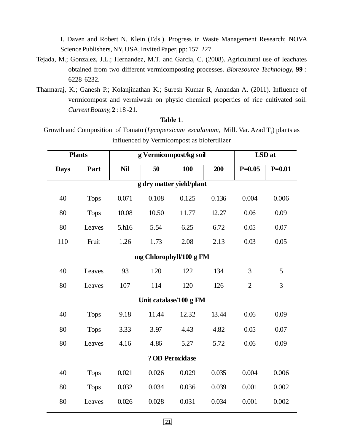I. Daven and Robert N. Klein (Eds.). Progress in Waste Management Research; NOVA Science Publishers, NY, USA, Invited Paper, pp: 157 227.

- Tejada, M.; Gonzalez, J.L.; Hernandez, M.T. and Garcia, C. (2008). Agricultural use of leachates obtained from two different vermicomposting processes. Bioresource Technology, 99 : 6228 6232.
- Tharmaraj, K.; Ganesh P.; Kolanjinathan K.; Suresh Kumar R, Anandan A. (2011). Influence of vermicompost and vermiwash on physic chemical properties of rice cultivated soil. : 18 -21. *Current Botany,* **2**

#### . **Table 1**

Growth and Composition of Tomato (*Lycopersicum esculantum*, Mill. Var. Azad T<sub>2</sub>) plants as influenced by Vermicompost as biofertilizer

| <b>Plants</b>   |                          |            | g Vermicompost/kg soil | LSD at |       |                |            |  |  |  |
|-----------------|--------------------------|------------|------------------------|--------|-------|----------------|------------|--|--|--|
| <b>Days</b>     | Part                     | <b>Nil</b> | 50                     | 100    | 200   | $P=0.05$       | $P = 0.01$ |  |  |  |
|                 | g dry matter yield/plant |            |                        |        |       |                |            |  |  |  |
| 40              | <b>Tops</b>              | 0.071      | 0.108                  | 0.125  | 0.136 | 0.004          | 0.006      |  |  |  |
| 80              | <b>Tops</b>              | 10.08      | 10.50                  | 11.77  | 12.27 | 0.06           | 0.09       |  |  |  |
| 80              | Leaves                   | 5.h16      | 5.54                   | 6.25   | 6.72  | 0.05           | 0.07       |  |  |  |
| 110             | Fruit                    | 1.26       | 1.73                   | 2.08   | 2.13  | 0.03           | 0.05       |  |  |  |
|                 | mg Chlorophyll/100 g FM  |            |                        |        |       |                |            |  |  |  |
| 40              | Leaves                   | 93         | 120                    | 122    | 134   | 3              | 5          |  |  |  |
| 80              | Leaves                   | 107        | 114                    | 120    | 126   | $\overline{2}$ | 3          |  |  |  |
|                 | Unit catalase/100 g FM   |            |                        |        |       |                |            |  |  |  |
| 40              | <b>Tops</b>              | 9.18       | 11.44                  | 12.32  | 13.44 | 0.06           | 0.09       |  |  |  |
| 80              | <b>Tops</b>              | 3.33       | 3.97                   | 4.43   | 4.82  | 0.05           | 0.07       |  |  |  |
| 80              | Leaves                   | 4.16       | 4.86                   | 5.27   | 5.72  | 0.06           | 0.09       |  |  |  |
| ? OD Peroxidase |                          |            |                        |        |       |                |            |  |  |  |
| 40              | <b>Tops</b>              | 0.021      | 0.026                  | 0.029  | 0.035 | 0.004          | 0.006      |  |  |  |
| 80              | <b>Tops</b>              | 0.032      | 0.034                  | 0.036  | 0.039 | 0.001          | 0.002      |  |  |  |
| 80              | Leaves                   | 0.026      | 0.028                  | 0.031  | 0.034 | 0.001          | 0.002      |  |  |  |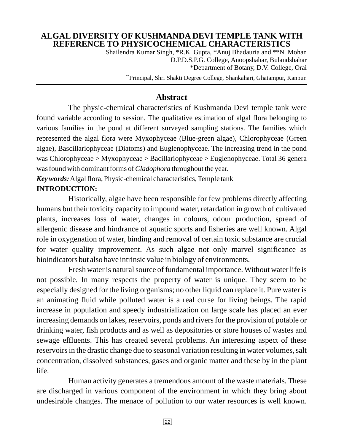## **ALGAL DIVERSITY OF KUSHMANDA DEVI TEMPLE TANK WITH REFERENCE TO PHYSICOCHEMICAL CHARACTERISTICS**

Shailendra Kumar Singh, \*R.K. Gupta, \*Anuj Bhadauria and \*\*N. Mohan D.P.D.S.P.G. College, Anoopshahar, Bulandshahar \*Department of Botany, D.V. College, Orai \*\*Principal, Shri Shakti Degree College, Shankahari, Ghatampur, Kanpur.

### **Abstract**

The physic-chemical characteristics of Kushmanda Devi temple tank were found variable according to session. The qualitative estimation of algal flora belonging to various families in the pond at different surveyed sampling stations. The families which represented the algal flora were Myxophyceae (Blue-green algae), Chlorophyceae (Green algae), Bascillariophyceae (Diatoms) and Euglenophyceae. The increasing trend in the pond was Chlorophyceae > Myxophyceae > Bacillariophyceae > Euglenophyceae. Total 36 genera was found with dominant forms of *Cladophora* throughout the year.

Key words: Algal flora, Physic-chemical characteristics, Temple tank **INTRODUCTION:**

Historically, algae have been responsible for few problems directly affecting humans but their toxicity capacity to impound water, retardation in growth of cultivated plants, increases loss of water, changes in colours, odour production, spread of allergenic disease and hindrance of aquatic sports and fisheries are well known. Algal role in oxygenation of water, binding and removal of certain toxic substance are crucial for water quality improvement. As such algae not only marvel significance as bioindicators but also have intrinsic value in biology of environments.

Fresh water is natural source of fundamental importance. Without water life is not possible. In many respects the property of water is unique. They seem to be especially designed for the living organisms; no other liquid can replace it. Pure water is an animating fluid while polluted water is a real curse for living beings. The rapid increase in population and speedy industrialization on large scale has placed an ever increasing demands on lakes, reservoirs, ponds and rivers for the provision of potable or drinking water, fish products and as well as depositories or store houses of wastes and sewage effluents. This has created several problems. An interesting aspect of these reservoirs in the drastic change due to seasonal variation resulting in water volumes, salt concentration, dissolved substances, gases and organic matter and these by in the plant life.

Human activity generates a tremendous amount of the waste materials. These are discharged in various component of the environment in which they bring about undesirable changes. The menace of pollution to our water resources is well known.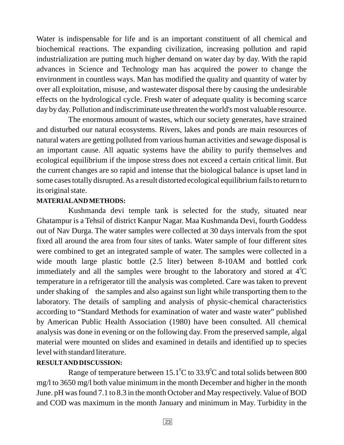Water is indispensable for life and is an important constituent of all chemical and biochemical reactions. The expanding civilization, increasing pollution and rapid industrialization are putting much higher demand on water day by day. With the rapid advances in Science and Technology man has acquired the power to change the environment in countless ways. Man has modified the quality and quantity of water by over all exploitation, misuse, and wastewater disposal there by causing the undesirable effects on the hydrological cycle. Fresh water of adequate quality is becoming scarce day by day. Pollution and indiscriminate use threaten the world's most valuable resource.

The enormous amount of wastes, which our society generates, have strained and disturbed our natural ecosystems. Rivers, lakes and ponds are main resources of natural waters are getting polluted from various human activities and sewage disposal is an important cause. All aquatic systems have the ability to purify themselves and ecological equilibrium if the impose stress does not exceed a certain critical limit. But the current changes are so rapid and intense that the biological balance is upset land in some cases totally disrupted.As a result distorted ecological equilibrium fails to return to its original state.

#### **MATERIALAND METHODS:**

Kushmanda devi temple tank is selected for the study, situated near Ghatampur is a Tehsil of district Kanpur Nagar. Maa Kushmanda Devi, fourth Goddess out of Nav Durga. The water samples were collected at 30 days intervals from the spot fixed all around the area from four sites of tanks. Water sample of four different sites were combined to get an integrated sample of water. The samples were collected in a wide mouth large plastic bottle (2.5 liter) between 8-10AM and bottled cork immediately and all the samples were brought to the laboratory and stored at  $4^{\circ}C$ temperature in a refrigerator till the analysis was completed. Care was taken to prevent under shaking of the samples and also against sun light while transporting them to the laboratory. The details of sampling and analysis of physic-chemical characteristics according to "Standard Methods for examination of water and waste water" published by American Public Health Association (1980) have been consulted. All chemical analysis was done in evening or on the following day. From the preserved sample, algal material were mounted on slides and examined in details and identified up to species level with standard literature.

#### **RESULTAND DISCUSSION:**

Range of temperature between 15.1 $\rm ^{o}C$  to 33.9 $\rm ^{o}C$  and total solids between 800 mg/l to 3650 mg/l both value minimum in the month December and higher in the month June. pH was found 7.1 to 8.3 in the month October and May respectively. Value of BOD and COD was maximum in the month January and minimum in May. Turbidity in the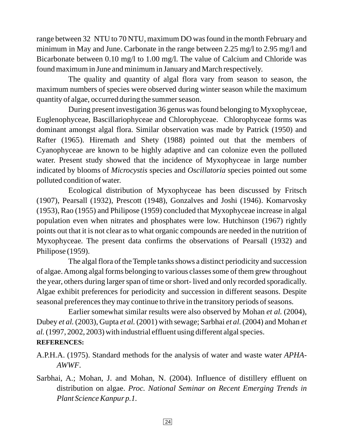range between 32 NTU to 70 NTU, maximum DO was found in the month February and minimum in May and June. Carbonate in the range between 2.25 mg/l to 2.95 mg/l and Bicarbonate between 0.10 mg/l to 1.00 mg/l. The value of Calcium and Chloride was found maximum in June and minimum in January and March respectively.

The quality and quantity of algal flora vary from season to season, the maximum numbers of species were observed during winter season while the maximum quantity of algae, occurred during the summer season.

During present investigation 36 genus was found belonging to Myxophyceae, Euglenophyceae, Bascillariophyceae and Chlorophyceae. Chlorophyceae forms was dominant amongst algal flora. Similar observation was made by Patrick (1950) and Rafter (1965). Hiremath and Shety (1988) pointed out that the members of Cyanophyceae are known to be highly adaptive and can colonize even the polluted water. Present study showed that the incidence of Myxophyceae in large number indicated by blooms of Microcystis species and Oscillatoria species pointed out some polluted condition of water.

Ecological distribution of Myxophyceae has been discussed by Fritsch (1907), Pearsall (1932), Prescott (1948), Gonzalves and Joshi (1946). Komarvosky (1953), Rao (1955) and Philipose (1959) concluded that Myxophyceae increase in algal population even when nitrates and phosphates were low. Hutchinson (1967) rightly points out that it is not clear as to what organic compounds are needed in the nutrition of Myxophyceae. The present data confirms the observations of Pearsall (1932) and Philipose (1959).

The algal flora of the Temple tanks shows a distinct periodicity and succession of algae.Among algal forms belonging to various classes some of them grew throughout the year, others during larger span of time or short- lived and only recorded sporadically. Algae exhibit preferences for periodicity and succession in different seasons. Despite seasonal preferences they may continue to thrive in the transitory periods of seasons.

Earlier somewhat similar results were also observed by Mohan et al. (2004), Dubey *et al.* (2003), Gupta *et al.* (2001) with sewage; Sarbhai *et al.* (2004) and Mohan *et* (1997, 2002, 2003) with industrial effluent using different algal species. *al.*

## **REFERENCES:**

A.P.H.A. (1975). Standard methods for the analysis of water and waste water *APHA-*. *AWWF*

Sarbhai, A.; Mohan, J. and Mohan, N. (2004). Influence of distillery effluent on distribution on algae. *Proc. National Seminar on Recent Emerging Trends in Plant Science Kanpur p.1.*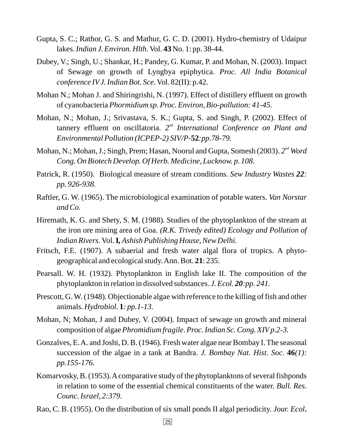- Gupta, S. C.; Rathor, G. S. and Mathur, G. C. D. (2001). Hydro-chemistry of Udaipur lakes. *Indian J. Environ. Hlth*. Vol. 43 No. 1: pp. 38-44.
- Dubey, V.; Singh, U.; Shankar, H.; Pandey, G. Kumar, P. and Mohan, N. (2003). Impact of Sewage on growth of Lyngbya epiphytica. *Proc. All India Botanical* conference IV J. Indian Bot. Sce. Vol. 82(II): p.42.
- Mohan N.; Mohan J. and Shiringrishi, N. (1997). Effect of distillery effluent on growth of cyanobacteria Phormidium sp. Proc. Environ, Bio-pollution: 41-45.
- Mohan, N.; Mohan, J.; Srivastava, S. K.; Gupta, S. and Singh, P. (2002). Effect of tannery effluent on oscillatoria. 2<sup>nd</sup> International Conference on Plant and *Environmental Pollution (ICPEP-2) SIV/P-52:pp.78-79.*
- Mohan, N.; Mohan, J.; Singh, Prem; Hasan, Noorul and Gupta, Somesh (2003). 2<sup>nd</sup> Word *Cong. On Biotech Develop. Of Herb. Medicine, Lucknow. p. 108.*
- Patrick, R. (1950). Biological measure of stream conditions. Sew Industry Wastes 22: *pp. 926-938.*
- Raftler, G. W. (1965). The microbiological examination of potable waters. *Van Norstar and Co.*
- Hiremath, K. G. and Shety, S. M. (1988). Studies of the phytoplankton of the stream at the iron ore mining area of Goa. *(R.K. Trivedy edited) Ecology and Pollution of* Indian Rivers. Vol. **I,** Ashish Publishing House, New Delhi.
- Fritsch, F.E. (1907). A subaerial and fresh water algal flora of tropics. A phytogeographical and ecological study. Ann. Bot. 21: 235.
- Pearsall. W. H. (1932). Phytoplankton in English lake II. The composition of the phytoplankton in relation in dissolved substances. *J. Ecol.* 20:pp. 241.
- Prescott, G. W. (1948). Objectionable algae with reference to the killing of fish and other animals. *Hydrobiol*. **1**: pp.1-13.
- Mohan, N; Mohan, J and Dubey, V. (2004). Impact of sewage on growth and mineral composition of algae *Phromidium fragile. Proc. Indian Sc. Cong. XIV p.2-3.*
- Gonzalves, E.A. and Joshi, D. B. (1946). Fresh water algae near Bombay I. The seasonal succession of the algae in a tank at Bandra. J. Bombay Nat. Hist. Soc. 46(1): . *pp.155-176*
- Komarvosky, B. (1953). A comparative study of the phytoplanktons of several fishponds in relation to some of the essential chemical constituents of the water. *Bull. Res. Counc. Israel, 2:379.*
- Rao, C. B. (1955). On the distribution of six small ponds II algal periodicity. *Jour. Ecol* **.**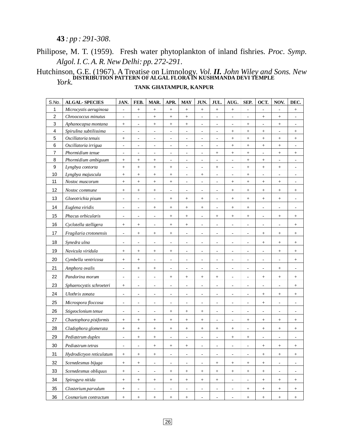#### *: pp : 291-308* .

## Philipose, M. T. (1959). Fresh water phytoplankton of inland fishries. Proc. Symp. *Algol. I. C. A. R. New Delhi: pp. 272-291* .

#### *Vol. John Wiley and Sons. New York.* Hutchinson, G.E. (1967). A Treatise on Limnology. *Vol. II.* **DISTRIBUTION PATTERN OF ALGAL FLORA IN KUSHMANDA DEVI TEMPLE**

#### **TANK GHATAMPUR, KANPUR**

| S.No.          | <b>ALGAL-SPECIES</b>     | JAN.                     | FEB.                             | MAR.                         | APR.                     | <b>MAY</b>               | JUN.                     | JUL.                     | AUG.                         | SEP.                         | OCT.                     | NOV.                     | DEC.                             |
|----------------|--------------------------|--------------------------|----------------------------------|------------------------------|--------------------------|--------------------------|--------------------------|--------------------------|------------------------------|------------------------------|--------------------------|--------------------------|----------------------------------|
| 1              | Microcystis aeruginosa   | $\overline{\phantom{a}}$ | $^+$                             | $\boldsymbol{+}$             | $\boldsymbol{+}$         | $^+$                     | $\boldsymbol{+}$         | $\boldsymbol{+}$         | $^{+}$                       | $\blacksquare$               | $\blacksquare$           | $\overline{\phantom{m}}$ | $\! + \!\!\!\!$                  |
| $\overline{c}$ | Chroococcus minutus      | $\overline{\phantom{a}}$ | $\overline{\phantom{a}}$         | $\ddot{}$                    | $\! +$                   | $^{+}$                   | $\blacksquare$           | $\overline{\phantom{a}}$ | $\blacksquare$               | $\blacksquare$               | $+$                      | $^+$                     | $\overline{\phantom{a}}$         |
| 3              | Aphanocapsa montana      | $\! + \!$                | $\blacksquare$                   | $^{+}$                       |                          | $^+$                     | $\overline{\phantom{a}}$ | $\overline{\phantom{a}}$ | $\blacksquare$               | $^{+}$                       | ä,                       | $^{+}$                   | $\overline{\phantom{a}}$         |
| 4              | Spirulina subtilissima   | $\overline{\phantom{a}}$ | $\blacksquare$                   | $\blacksquare$               | $\overline{\phantom{a}}$ | $\overline{\phantom{a}}$ | $\blacksquare$           | $\overline{\phantom{a}}$ |                              |                              | $\boldsymbol{+}$         | $\blacksquare$           | $\boldsymbol{+}$                 |
| 5              | Oscillatoria tenuis      | $^+$                     | $\overline{\phantom{a}}$         | $\frac{1}{2}$                | $\overline{\phantom{a}}$ | $\overline{\phantom{a}}$ | $\blacksquare$           | $\overline{\phantom{a}}$ | $^{+}$                       | $\boldsymbol{+}$             | $+$                      | $^{+}$                   | $\! +$                           |
| 6              | Oscillatoria irrigua     | $\frac{1}{2}$            | $\frac{1}{2}$                    | $\qquad \qquad \blacksquare$ | $\frac{1}{2}$            | $\overline{\phantom{a}}$ | ÷,                       | $\frac{1}{2}$            | $^{+}$                       | $\ddot{}$                    | $\qquad \qquad +$        | $\boldsymbol{+}$         | $\frac{1}{2}$                    |
| $\overline{7}$ | Phormidium tenue         | $\overline{\phantom{m}}$ | $\overline{\phantom{a}}$         | $\qquad \qquad \blacksquare$ | $\overline{\phantom{m}}$ | $\overline{\phantom{a}}$ | $\frac{1}{2}$            | $\! + \!$                | $\boldsymbol{+}$             | $^{+}$                       | ÷,                       | $^{+}$                   | $\boldsymbol{+}$                 |
| 8              | Phormidium ambiguum      |                          | $^+$                             | $\! + \!$                    | $\overline{\phantom{a}}$ | $\overline{\phantom{a}}$ | $\overline{\phantom{0}}$ | $\overline{\phantom{a}}$ | $\qquad \qquad \blacksquare$ | $\! + \!$                    | $\boldsymbol{+}$         | $\overline{\phantom{a}}$ | $\overline{\phantom{a}}$         |
| 9              | Lyngbya contorta         | $^{+}$                   | $+$                              | $^{+}$                       | $\boldsymbol{+}$         | $\overline{\phantom{a}}$ | $\blacksquare$           | $^+$                     | $\blacksquare$               | $^{+}$                       | $\ddot{}$                | $\boldsymbol{+}$         | $\overline{\phantom{a}}$         |
| 10             | Lyngbya majuscula        | $^{+}$                   | $^+$                             | $\! + \!$                    | $+$                      | $\overline{\phantom{a}}$ | $\boldsymbol{+}$         | ÷,                       | $\blacksquare$               |                              | ä,                       | ÷,                       | $\overline{\phantom{a}}$         |
| 11             | Nostoc muscorum          | $^{+}$                   | $^{+}$                           | $\! + \!$                    | $\! + \!$                | $\overline{\phantom{a}}$ | $\overline{a}$           | $\overline{\phantom{a}}$ | $^{+}$                       |                              | $\ddot{}$                | $\! + \!$                | $\overline{\phantom{a}}$         |
| 12             | Nostoc commune           |                          | $\! + \!$                        | $^{+}$                       | $\overline{\phantom{a}}$ | $\overline{\phantom{a}}$ | $\overline{\phantom{a}}$ | $\overline{\phantom{a}}$ | $\boldsymbol{+}$             |                              | $\boldsymbol{+}$         | $^+$                     | $\! + \!\!\!\!$                  |
| 13             | Gloeotrichia pisum       | $\overline{\phantom{m}}$ | $\overline{\phantom{a}}$         | $\qquad \qquad \blacksquare$ |                          |                          | $^+$                     | $\overline{\phantom{a}}$ |                              |                              | $\! + \!\!\!\!$          | $\, +$                   | $\overline{\phantom{a}}$         |
| 14             | Euglena viridis          | $\overline{\phantom{a}}$ | $\overline{\phantom{a}}$         | $\! + \!\!\!\!$              |                          | $\boldsymbol{+}$         | $^+$                     | $\overline{\phantom{a}}$ | $^+$                         |                              | $\blacksquare$           | $\overline{\phantom{a}}$ | $\overline{\phantom{a}}$         |
| 15             | Phacus orbicularis       | $\overline{\phantom{a}}$ | $\overline{\phantom{a}}$         | $\overline{\phantom{a}}$     | $\! + \!\!\!\!$          |                          | $\blacksquare$           | $^+$                     |                              |                              | $\overline{\phantom{a}}$ | $\! + \!\!\!\!$          | $^{+}$                           |
| 16             | Cyclotella stelligera    |                          | $^{+}$                           | $\blacksquare$               |                          | $\boldsymbol{+}$         | $\overline{\phantom{a}}$ | $\overline{\phantom{a}}$ | $\blacksquare$               | $\qquad \qquad \blacksquare$ | $\overline{\phantom{a}}$ | $\blacksquare$           | $\! + \!\!\!\!$                  |
| 17             | Fragilaria crotonensis   | $\overline{\phantom{a}}$ | $\! + \!$                        | $^{+}$                       | $^+$                     | $\overline{\phantom{a}}$ | ÷,                       | $\overline{\phantom{a}}$ | $\qquad \qquad \blacksquare$ | $\qquad \qquad \blacksquare$ | $^+$                     | $^{+}$                   |                                  |
| 18             | Synedra ulna             | $\overline{\phantom{m}}$ | -                                | $\frac{1}{2}$                | -                        | $\overline{\phantom{a}}$ | $\overline{\phantom{0}}$ | $\overline{\phantom{a}}$ | ۰                            | $\overline{a}$               | $\! + \!\!\!\!$          |                          | $^+$                             |
| 19             | Navicula viridula        |                          | $\begin{array}{c} + \end{array}$ | $\! + \!\!\!\!$              | $\! + \!\!\!\!$          | $\overline{\phantom{a}}$ | $\overline{\phantom{a}}$ | $\overline{\phantom{a}}$ | $\qquad \qquad \blacksquare$ | $\blacksquare$               | $\overline{\phantom{a}}$ | $^{+}$                   | $\! + \!\!\!\!$                  |
| $20\,$         | Cymbella ventricosa      | $\boldsymbol{+}$         | $\! + \!\!\!\!$                  | $\qquad \qquad \blacksquare$ | $\overline{\phantom{a}}$ | $\overline{\phantom{a}}$ | $\overline{\phantom{a}}$ | $\overline{\phantom{a}}$ | $\overline{\phantom{a}}$     | $\overline{\phantom{a}}$     | $\overline{\phantom{a}}$ | $\overline{\phantom{a}}$ | $\! + \!\!\!\!$                  |
| 21             | Amphora ovalis           | $\overline{\phantom{a}}$ | $\! + \!\!\!\!$                  | $\! +$                       | $\overline{\phantom{a}}$ | $\overline{\phantom{a}}$ | $\overline{\phantom{a}}$ | $\overline{\phantom{a}}$ | $\overline{\phantom{a}}$     | $\overline{\phantom{a}}$     | $\overline{\phantom{a}}$ | $\qquad \qquad +$        | $\overline{\phantom{a}}$         |
| 22             | Pandorina morum          | $\overline{\phantom{a}}$ | $\overline{\phantom{a}}$         | $\blacksquare$               | $\! + \!\!\!\!$          | $^{+}$                   | $+$                      | $\! + \!\!\!\!$          | $\overline{\phantom{a}}$     | $\blacksquare$               | $+$                      | $^+$                     | $+$                              |
| 23             | Sphaerocystis schroeteri |                          | $\overline{\phantom{a}}$         | $\qquad \qquad \blacksquare$ | $\overline{\phantom{a}}$ | $\overline{\phantom{a}}$ | $\overline{\phantom{a}}$ | $\frac{1}{2}$            | $\blacksquare$               | $\qquad \qquad \blacksquare$ | $\blacksquare$           | $\overline{\phantom{a}}$ | $\! + \!\!\!\!$                  |
| 24             | Ulothrix zonata          | ÷,                       | ä,                               | ÷,                           | $\overline{\phantom{a}}$ | $\sim$                   | ÷,                       | ÷,                       | ÷,                           | ÷,                           | $\! + \!$                | $^{+}$                   |                                  |
| 25             | Microspora floccosa      | $\overline{\phantom{a}}$ | $\overline{\phantom{a}}$         | ÷,                           | $\overline{\phantom{a}}$ | $\overline{\phantom{a}}$ | ÷,                       | $\overline{\phantom{a}}$ | ÷,                           | ÷,                           | $^+$                     | ÷,                       | ÷,                               |
| 26             | Stigeoclonium tenue      | $\overline{\phantom{m}}$ | $\overline{\phantom{a}}$         | $\qquad \qquad \blacksquare$ | $\boldsymbol{+}$         |                          | $^+$                     | $\frac{1}{2}$            | $\frac{1}{2}$                | $\qquad \qquad \blacksquare$ | $\blacksquare$           | $\overline{a}$           | $\overline{\phantom{a}}$         |
| 27             | Chaetophora pisiformis   | $^{+}$                   | $\! + \!\!\!\!$                  | $^{+}$                       | $^{+}$                   | $^{+}$                   | $\boldsymbol{+}$         | $\frac{1}{2}$            | $\qquad \qquad \blacksquare$ |                              | $\boldsymbol{+}$         | $\! + \!$                |                                  |
| 28             | Cladophora glomerata     |                          | $\! + \!\!\!\!$                  | $^{+}$                       | $^+$                     | $^+$                     | $^+$                     | $\! + \!\!\!\!$          | $\! + \!\!\!\!$              | $\frac{1}{2}$                | $\! + \!\!\!\!$          | $\! + \!\!\!\!$          | $\! +$                           |
| 29             | Pediastrum duplex        | $\frac{1}{2}$            | $^{+}$                           |                              | $\overline{\phantom{a}}$ | $\overline{\phantom{a}}$ | $\overline{\phantom{a}}$ | $\overline{\phantom{a}}$ | $^{+}$                       |                              | $\overline{\phantom{a}}$ | ÷                        | $\overline{a}$                   |
| 30             | Pediastrum tetras        | $\overline{\phantom{a}}$ | $\overline{\phantom{a}}$         | $\! + \!$                    |                          |                          | $\overline{a}$           | $\overline{\phantom{a}}$ | $\qquad \qquad \blacksquare$ | ٠                            | $\! + \!\!\!\!$          | $^{+}$                   |                                  |
| 31             | Hydrodictyon reticulatum | $^+$                     | $^{+}$                           |                              | $\overline{\phantom{a}}$ | $\overline{\phantom{a}}$ | $\overline{\phantom{a}}$ | $\overline{\phantom{a}}$ | $\blacksquare$               | ÷,                           | $\! + \!\!\!\!$          | $^+$                     | $\! + \!\!\!\!$                  |
| 32             | Scenedesmus bijuga       | $\boldsymbol{+}$         | $+$                              | $\blacksquare$               | $\overline{\phantom{a}}$ | $\overline{\phantom{a}}$ | $\overline{\phantom{a}}$ | $\qquad \qquad +$        | $\! + \!\!\!\!$              | $\! + \!\!\!\!$              | $+$                      | $\overline{\phantom{a}}$ | $\overline{\phantom{a}}$         |
| 33             | Scenedesmus obliquus     | $^+$                     | $\overline{\phantom{a}}$         | $\overline{\phantom{a}}$     | $^+$                     | $\! + \!\!\!\!$          |                          | $^{+}$                   | $^{+}$                       | $^+$                         | $^{+}$                   | $\overline{\phantom{a}}$ | $\overline{\phantom{a}}$         |
| 34             | Spirogyra nitida         | $^+$                     | $+$                              |                              |                          | $\qquad \qquad +$        | $\! +$                   | $\qquad \qquad +$        | $\blacksquare$               | $\overline{\phantom{a}}$     | $\! +$                   | $^+$                     | $\begin{array}{c} + \end{array}$ |
| 35             | Closterium parvulum      | $^+$                     | $\overline{\phantom{a}}$         | $\overline{\phantom{a}}$     | $\overline{\phantom{a}}$ | $\overline{\phantom{a}}$ | $\overline{\phantom{a}}$ | $\overline{\phantom{a}}$ | $\blacksquare$               |                              | $^+$                     | $\boldsymbol{+}$         | $\boldsymbol{+}$                 |
| 36             | Cosmarium contractum     | $\! +$                   | $+$                              | $\! + \!\!\!\!$              | $^+$                     | $\boldsymbol{+}$         |                          | $\overline{\phantom{a}}$ | $\blacksquare$               | $\! + \!\!\!\!$              | $+$                      | $^+$                     | $\! +$                           |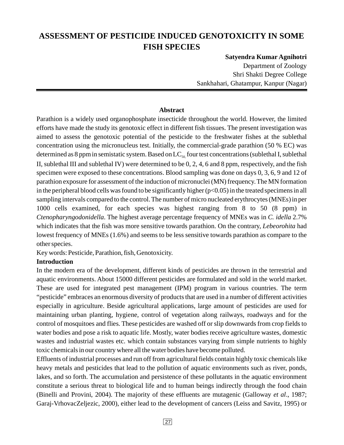## **ASSESSMENT OF PESTICIDE INDUCED GENOTOXICITY IN SOME FISH SPECIES**

**Satyendra Kumar Agnihotri**

Department of Zoology Shri Shakti Degree College Sankhahari, Ghatampur, Kanpur (Nagar)

#### **Abstract**

Parathion is a widely used organophosphate insecticide throughout the world. However, the limited efforts have made the study its genotoxic effect in different fish tissues. The present investigation was aimed to assess the genotoxic potential of the pesticide to the freshwater fishes at the sublethal concentration using the micronucleus test. Initially, the commercial-grade parathion (50 % EC) was determined as 8 ppm in semistatic system. Based on  $LC_{50}$  four test concentrations (sublethal I, sublethal II, sublethal III and sublethal IV) were determined to be 0, 2, 4, 6 and 8 ppm, respectively, and the fish specimen were exposed to these concentrations. Blood sampling was done on days 0, 3, 6, 9 and 12 of parathion exposure for assessment of the induction of micronuclei (MN) frequency. The MN formation in the peripheral blood cells was found to be significantly higher  $(p<0.05)$  in the treated specimens in all sampling intervals compared to the control. The number of micro nucleated erythrocytes (MNEs) in per 1000 cells examined, for each species was highest ranging from 8 to 50 (8 ppm) in Ctenopharyngodonidella. The highest average percentage frequency of MNEs was in C. idella 2.7% which indicates that the fish was more sensitive towards parathion. On the contrary, Lebeorohita had lowest frequency of MNEs (1.6%) and seems to be less sensitive towards parathion as compare to the other species.

Key words: Pesticide, Parathion, fish, Genotoxicity.

#### **Introduction**

In the modern era of the development, different kinds of pesticides are thrown in the terrestrial and aquatic environments. About 15000 different pesticides are formulated and sold in the world market. These are used for integrated pest management (IPM) program in various countries. The term "pesticide" embraces an enormous diversity of products that are used in a number of different activities especially in agriculture. Beside agricultural applications, large amount of pesticides are used for maintaining urban planting, hygiene, control of vegetation along railways, roadways and for the control of mosquitoes and flies. These pesticides are washed off or slip downwards from crop fields to water bodies and pose a risk to aquatic life. Mostly, water bodies receive agriculture wastes, domestic wastes and industrial wastes etc. which contain substances varying from simple nutrients to highly toxic chemicals in our country where all the water bodies have become polluted.

Effluents of industrial processes and run off from agricultural fields contain highly toxic chemicals like heavy metals and pesticides that lead to the pollution of aquatic environments such as river, ponds, lakes, and so forth. The accumulation and persistence of these pollutants in the aquatic environment constitute a serious threat to biological life and to human beings indirectly through the food chain (Binelli and Provini, 2004). The majority of these effluents are mutagenic (Galloway et al., 1987; Garaj-VrhovacZeljezic, 2000), either lead to the development of cancers (Leiss and Savitz, 1995) or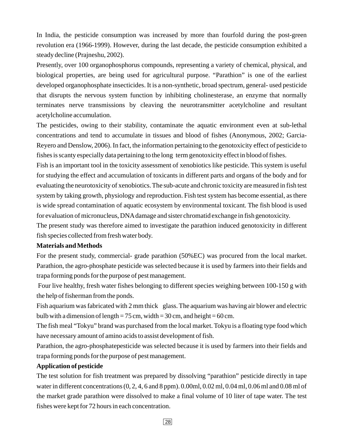In India, the pesticide consumption was increased by more than fourfold during the post-green revolution era (1966-1999). However, during the last decade, the pesticide consumption exhibited a steady decline (Prajneshu, 2002).

Presently, over 100 organophosphorus compounds, representing a variety of chemical, physical, and biological properties, are being used for agricultural purpose. "Parathion" is one of the earliest developed organophosphate insecticides. It is a non-synthetic, broad spectrum, general- used pesticide that disrupts the nervous system function by inhibiting cholinesterase, an enzyme that normally terminates nerve transmissions by cleaving the neurotransmitter acetylcholine and resultant acetylcholine accumulation.

The pesticides, owing to their stability, contaminate the aquatic environment even at sub-lethal concentrations and tend to accumulate in tissues and blood of fishes (Anonymous, 2002; Garcia-Reyero and Denslow, 2006). In fact, the information pertaining to the genotoxicity effect of pesticide to fishes is scanty especially data pertaining to the long term genotoxicity effect in blood of fishes.

Fish is an important tool in the toxicity assessment of xenobiotics like pesticide. This system is useful for studying the effect and accumulation of toxicants in different parts and organs of the body and for evaluating the neurotoxicity of xenobiotics. The sub-acute and chronic toxicity are measured in fish test system by taking growth, physiology and reproduction. Fish test system has become essential, as there is wide spread contamination of aquatic ecosystem by environmental toxicant. The fish blood is used for evaluation of micronucleus, DNAdamage and sister chromatid exchange in fish genotoxicity.

The present study was therefore aimed to investigate the parathion induced genotoxicity in different fish species collected from fresh water body.

#### **Materials and Methods**

For the present study, commercial- grade parathion (50%EC) was procured from the local market. Parathion, the agro-phosphate pesticide was selected because it is used by farmers into their fields and trapa forming ponds for the purpose of pest management.

Four live healthy, fresh water fishes belonging to different species weighing between 100-150 g with the help of fisherman from the ponds.

Fish aquarium was fabricated with 2 mm thick glass. The aquarium was having air blower and electric bulb with a dimension of length =  $75 \text{ cm}$ , width =  $30 \text{ cm}$ , and height =  $60 \text{ cm}$ .

The fish meal "Tokyu" brand was purchased from the local market. Tokyu is a floating type food which have necessary amount of amino acids to assist development of fish.

Parathion, the agro-phosphatepesticide was selected because it is used by farmers into their fields and trapa forming ponds for the purpose of pest management.

#### **Application of pesticide**

The test solution for fish treatment was prepared by dissolving "parathion" pesticide directly in tape water in different concentrations (0, 2, 4, 6 and 8 ppm). 0.00ml, 0.02 ml, 0.04 ml, 0.06 ml and 0.08 ml of the market grade parathion were dissolved to make a final volume of 10 liter of tape water. The test fishes were kept for 72 hours in each concentration.

28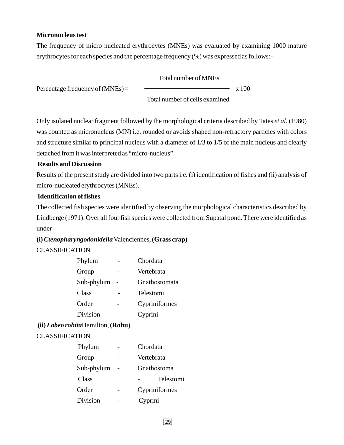#### **Micronucleus test**

The frequency of micro nucleated erythrocytes (MNEs) was evaluated by examining 1000 mature erythrocytes for each species and the percentage frequency (%) was expressed as follows:-

Total number of MNEs

Percentage frequency of  $(MNEs) =$   $\longrightarrow x 100$ 

Total number of cells examined

Only isolated nuclear fragment followed by the morphological criteria described by Tates et al. (1980) was counted as micronucleus (MN) i.e. rounded or avoids shaped non-refractory particles with colors and structure similar to principal nucleus with a diameter of 1/3 to 1/5 of the main nucleus and clearly detached from itwas interpreted as "micro-nucleus".

#### **Results and Discussion**

Results of the present study are divided into two parts i.e. (i) identification of fishes and (ii) analysis of micro-nucleated erythrocytes (MNEs).

#### **Identification of fishes**

The collected fish species were identified by observing the morphological characteristics described by Lindberge (1971). Over all four fish species were collected from Supatal pond. There were identified as under

#### **(i) Grass crap)** Valenciennes, ( *Ctenopharyngodonidella*

#### CLASSIFICATION

| Phylum     | Chordata      |
|------------|---------------|
| Group      | Vertebrata    |
| Sub-phylum | Gnathostomata |
| Class      | Telestomi     |
| Order      | Cypriniformes |
| Division   | Cyprini       |
|            |               |

#### **(ii) (Rohu** Hamilton, ) *Labeo rohita*

#### CLASSIFICATION

| Phylum     | Chordata      |
|------------|---------------|
| Group      | Vertebrata    |
| Sub-phylum | Gnathostoma   |
| Class      | Telestomi     |
| Order      | Cypriniformes |
| Division   | Cyprini       |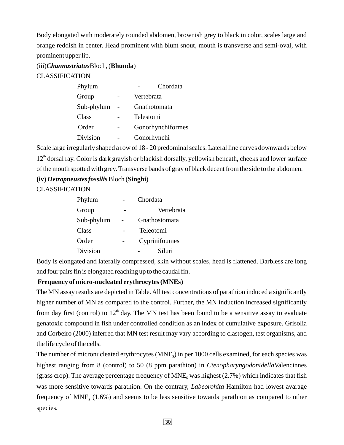Body elongated with moderately rounded abdomen, brownish grey to black in color, scales large and orange reddish in center. Head prominent with blunt snout, mouth is transverse and semi-oval, with prominent upper lip.

(iii) *Channastriatus* Bloch, (**Bhunda**)

CLASSIFICATION

| Phylum     | Chordata          |
|------------|-------------------|
| Group      | Vertebrata        |
| Sub-phylum | Gnathotomata      |
| Class      | Telestomi         |
| Order      | Gonorhynchiformes |
| Division   | Gonorhynchi       |
|            |                   |

Scale large irregularly shaped a row of 18 - 20 predominal scales. Lateral line curves downwards below 12<sup>th</sup> dorsal ray. Color is dark grayish or blackish dorsally, yellowish beneath, cheeks and lower surface of the mouth spotted with grey. Transverse bands of gray of black decent from the side to the abdomen.

#### (iv) *Hetropneustes fossilis* Bloch (Singhi)

CLASSIFICATION

| Phylum     | Chordata      |
|------------|---------------|
| Group      | Vertebrata    |
| Sub-phylum | Gnathostomata |
| Class      | Teleotomi     |
| Order      | Cyprinifoumes |
| Division   | Siluri        |

Body is elongated and laterally compressed, skin without scales, head is flattened. Barbless are long and four pairs fin is elongated reaching up to the caudal fin.

#### **Frequency of micro-nucleated erythrocytes (MNEs)**

The MN assay results are depicted in Table. All test concentrations of parathion induced a significantly higher number of MN as compared to the control. Further, the MN induction increased significantly from day first (control) to  $12<sup>th</sup>$  day. The MN test has been found to be a sensitive assay to evaluate genatoxic compound in fish under controlled condition as an index of cumulative exposure. Grisolia and Corbeiro (2000) inferred that MN test result may vary according to clastogen, test organisms, and the life cycle of the cells.

The number of micronucleated erythrocytes (MNE<sub>s</sub>) in per 1000 cells examined, for each species was highest ranging from 8 (control) to 50 (8 ppm parathion) in *Ctenopharyngodonidella* Valencinnes (grass crop). The average percentage frequency of  $MNE<sub>s</sub>$  was highest (2.7%) which indicates that fish was more sensitive towards parathion. On the contrary, *Labeorohita* Hamilton had lowest avarage frequency of  $MNE<sub>s</sub>$  (1.6%) and seems to be less sensitive towards parathion as compared to other species.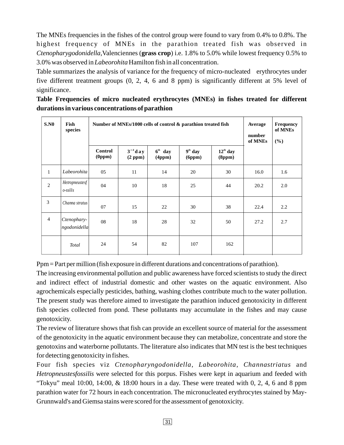The MNEs frequencies in the fishes of the control group were found to vary from 0.4% to 0.8%. The highest frequency of MNEs in the parathion treated fish was observed in *Ctenopharygodonidella*, Valenciennes (grass crop) i.e. 1.8% to 5.0% while lowest frequency 0.5% to 3.0% was observed in *Labeorohita* Hamilton fish in all concentration.

Table summarizes the analysis of variance for the frequency of micro-nucleated erythrocytes under five different treatment groups (0, 2, 4, 6 and 8 ppm) is significantly different at 5% level of significance.

**Table Frequencies of micro nucleated erythrocytes (MNEs) in fishes treated for different durations in various concentrations of parathion**

| S.N0           | Fish<br>species             |                                                        | Number of MNEs/1000 cells of control & parathion treated fish | Average<br>number<br>of MNEs | Frequency<br>of MNEs<br>(%) |                                |      |     |
|----------------|-----------------------------|--------------------------------------------------------|---------------------------------------------------------------|------------------------------|-----------------------------|--------------------------------|------|-----|
|                |                             | <b>Control</b><br>$(\mathbf{0} \mathbf{p} \mathbf{m})$ | $3^{rd}$ day<br>(2 ppm)                                       | $6th$ day<br>(4ppm)          | $9th$ day<br>(6ppm)         | $12^{\text{th}}$ day<br>(8ppm) |      |     |
| $\mathbf{1}$   | Labeorohita                 | 05                                                     | 11                                                            | 14                           | 20                          | 30                             | 16.0 | 1.6 |
| $\sqrt{2}$     | Hetropneustesf<br>o-ssilis  | 04                                                     | 10                                                            | 18                           | 25                          | 44                             | 20.2 | 2.0 |
| 3              | Channa stratus              | 07                                                     | 15                                                            | 22                           | 30                          | 38                             | 22.4 | 2.2 |
| $\overline{4}$ | Ctenophary-<br>ngodonidella | 08                                                     | 18                                                            | 28                           | 32                          | 50                             | 27.2 | 2.7 |
|                | <b>Total</b>                | 24                                                     | 54                                                            | 82                           | 107                         | 162                            |      |     |

Ppm = Part per million (fish exposure in different durations and concentrations of parathion).

The increasing environmental pollution and public awareness have forced scientists to study the direct and indirect effect of industrial domestic and other wastes on the aquatic environment. Also agrochemicals especially pesticides, bathing, washing clothes contribute much to the water pollution. The present study was therefore aimed to investigate the parathion induced genotoxicity in different fish species collected from pond. These pollutants may accumulate in the fishes and may cause genotoxicity.

The review of literature shows that fish can provide an excellent source of material for the assessment of the genotoxicity in the aquatic environment because they can metabolize, concentrate and store the genotoxins and waterborne pollutants. The literature also indicates that MN test is the best techniques for detecting genotoxicity in fishes.

Four fish species viz Ctenopharyngodonidella, Labeorohita, Channastriatus and Hetropneustesfossilis were selected for this porpus. Fishes were kept in aquarium and feeded with "Tokyu" meal  $10:00$ ,  $14:00$ ,  $\&$   $18:00$  hours in a day. These were treated with 0, 2, 4, 6 and 8 ppm parathion water for 72 hours in each concentration. The micronucleated erythrocytes stained by May-Grunnwald's and Giemsa stains were scored for the assessment of genotoxicity.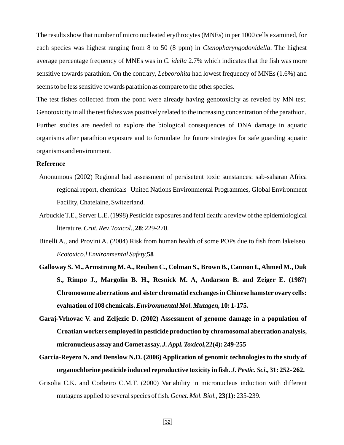The results show that number of micro nucleated erythrocytes (MNEs) in per 1000 cells examined, for each species was highest ranging from 8 to 50 (8 ppm) in *Ctenopharyngodonidella*. The highest average percentage frequency of MNEs was in C. *idella* 2.7% which indicates that the fish was more sensitive towards parathion. On the contrary, *Lebeorohita* had lowest frequency of MNEs (1.6%) and seems to be less sensitive towards parathion as compare to the other species.

The test fishes collected from the pond were already having genotoxicity as reveled by MN test. Genotoxicity in all the test fishes was positively related to the increasing concentration of the parathion. Further studies are needed to explore the biological consequences of DNA damage in aquatic organisms after parathion exposure and to formulate the future strategies for safe guarding aquatic organisms and environment.

#### **Reference**

- Anonumous (2002) Regional bad assessment of persisetent toxic sunstances: sab-saharan Africa regional report, chemicals United Nations Environmental Programmes, Global Environment Facility, Chatelaine, Switzerland.
- Arbuckle T.E., Server L.E. (1998) Pesticide exposures and fetal death: a review of the epidemiological *contention Crut. Rev. Toxicol.*, 28: 229-270.
- Binelli A., and Provini A. (2004) Risk from human health of some POPs due to fish from lakeIseo. *Ecotoxico.l Environmental Safety,* **58**
- **Galloway S. M., Armstrong M.A., Reuben C., Colman S., Brown B., Cannon I., Ahmed M., Duk S., Rimpo J., Margolin B. H., Resnick M. A, Andarson B. and Zeiger E. (1987) Chromosome aberrations and sister chromatid exchanges in Chinese hamster ovary cells: evaluation of 108 chemicals. 10: 1-175.** *Environmental Mol. Mutagen,*
- **Garaj-Vrhovac V. and Zeljezic D. (2002) Assessment of genome damage in a population of Croatian workers employed in pesticide production by chromosomal aberration analysis, micronucleus assay and Comet assay. 22(4): 249-255** *J. Appl. Toxicol,*
- **Garcia-Reyero N. and Denslow N.D. (2006) Application of genomic technologies to the study of organochlorine pesticide induced reproductive toxicity in fish ., 31: 252- 262.** *. J. Pestic. Sci*
- Grisolia C.K. and Corbeiro C.M.T. (2000) Variability in micronucleus induction with different mutagens applied to several species of fish. Genet. Mol. Biol., 23(1): 235-239.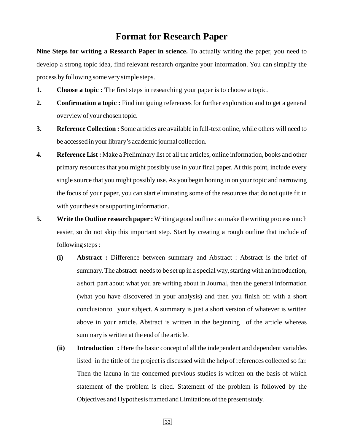## **Format for Research Paper**

**Nine Steps for writing a Research Paper in science.** To actually writing the paper, you need to develop a strong topic idea, find relevant research organize your information. You can simplify the process by following some very simple steps.

- **1.** Choose a topic : The first steps in researching your paper is to choose a topic.
- 2. Confirmation a topic: Find intriguing references for further exploration and to get a general overview of your chosen topic.
- **3. Reference Collection :** Some articles are available in full-text online, while others will need to be accessed in your library's academic journal collection.
- **4. Reference List :** Make a Preliminary list of all the articles, online information, books and other primary resources that you might possibly use in your final paper. At this point, include every single source that you might possibly use. As you begin honing in on your topic and narrowing the focus of your paper, you can start eliminating some of the resources that do not quite fit in with your thesis or supporting information.
- **5.** Write the Outline research paper: Writing a good outline can make the writing process much easier, so do not skip this important step. Start by creating a rough outline that include of following steps :
	- **(i) Abstract :** Difference between summary and Abstract : Abstract is the brief of summary. The abstract needs to be set up in a special way, starting with an introduction, a short part about what you are writing about in Journal, then the general information (what you have discovered in your analysis) and then you finish off with a short conclusion to your subject. A summary is just a short version of whatever is written above in your article. Abstract is written in the beginning of the article whereas summary is written at the end of the article.
	- **(ii) Introduction :** Here the basic concept of all the independent and dependent variables listed in the tittle of the project is discussed with the help of references collected so far. Then the lacuna in the concerned previous studies is written on the basis of which statement of the problem is cited. Statement of the problem is followed by the Objectives and Hypothesis framed and Limitations of the present study.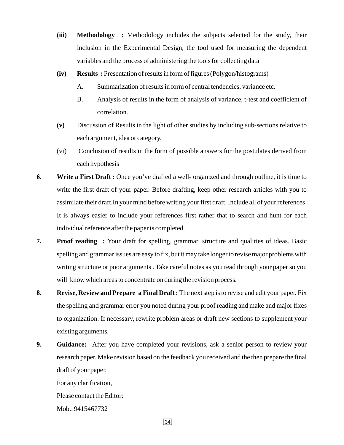- (iii) Methodology : Methodology includes the subjects selected for the study, their inclusion in the Experimental Design, the tool used for measuring the dependent variables and the process of administering the tools for collecting data
- **(iv) Results :** Presentation of results in form of figures (Polygon/histograms)
	- A. Summarization of results in form of central tendencies, variance etc.
	- B. Analysis of results in the form of analysis of variance, t-test and coefficient of correlation.
- **(v)** Discussion of Results in the light of other studies by including sub-sections relative to each argument, idea or category.
- (vi) Conclusion of results in the form of possible answers for the postulates derived from each hypothesis
- **6.** Write a First Draft: Once you've drafted a well- organized and through outline, it is time to write the first draft of your paper. Before drafting, keep other research articles with you to assimilate their draft.In your mind before writing your first draft. Include all of your references. It is always easier to include your references first rather that to search and hunt for each individual reference after the paper is completed.
- **7. Proof reading :** Your draft for spelling, grammar, structure and qualities of ideas. Basic spelling and grammar issues are easy to fix, but it may take longer to revise major problems with writing structure or poor arguments . Take careful notes as you read through your paper so you will know which areas to concentrate on during the revision process.
- **8.** Revise, Review and Prepare a Final Draft: The next step is to revise and edit your paper. Fix the spelling and grammar error you noted during your proof reading and make and major fixes to organization. If necessary, rewrite problem areas or draft new sections to supplement your existing arguments.
- **9.** Guidance: After you have completed your revisions, ask a senior person to review your research paper. Make revision based on the feedback you received and the then prepare the final draft of your paper.

For any clarification,

Please contact the Editor:

Mob.: 9415467732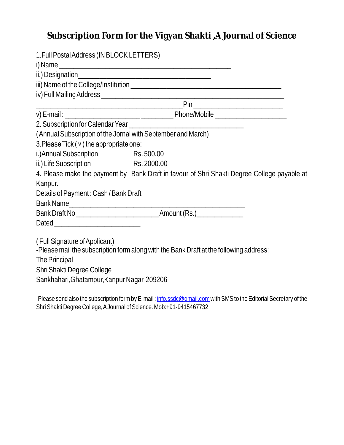## **Subscription Form for the Vigyan Shakti ,A Journal of Science**

| 1. Full Postal Address (IN BLOCK LETTERS)                    |                                                                                             |
|--------------------------------------------------------------|---------------------------------------------------------------------------------------------|
|                                                              |                                                                                             |
|                                                              |                                                                                             |
|                                                              |                                                                                             |
|                                                              |                                                                                             |
|                                                              |                                                                                             |
|                                                              |                                                                                             |
|                                                              |                                                                                             |
| (Annual Subscription of the Jornal with September and March) |                                                                                             |
| 3. Please Tick ( $\sqrt{}$ ) the appropriate one:            |                                                                                             |
| i.) Annual Subscription Rs. 500.00                           |                                                                                             |
| ii.) Life Subscription                                       | Rs. 2000.00                                                                                 |
|                                                              | 4. Please make the payment by Bank Draft in favour of Shri Shakti Degree College payable at |
| Kanpur.                                                      |                                                                                             |
| Details of Payment: Cash / Bank Draft                        |                                                                                             |
|                                                              | Bank Name                                                                                   |
|                                                              |                                                                                             |
|                                                              |                                                                                             |
|                                                              |                                                                                             |
| (Full Signature of Applicant)                                |                                                                                             |
|                                                              | -Please mail the subscription form along with the Bank Draft at the following address:      |
| The Principal                                                |                                                                                             |
| Shri Shakti Degree College                                   |                                                                                             |
| Sankhahari, Ghatampur, Kanpur Nagar-209206                   |                                                                                             |
|                                                              |                                                                                             |

-Please send also the subscription form by E-mail : <u>info.ssdc@gmail.com</u> with SMS to the Editorial Secretary of the Shri Shakti Degree College, AJournal of Science. Mob:+91-9415467732